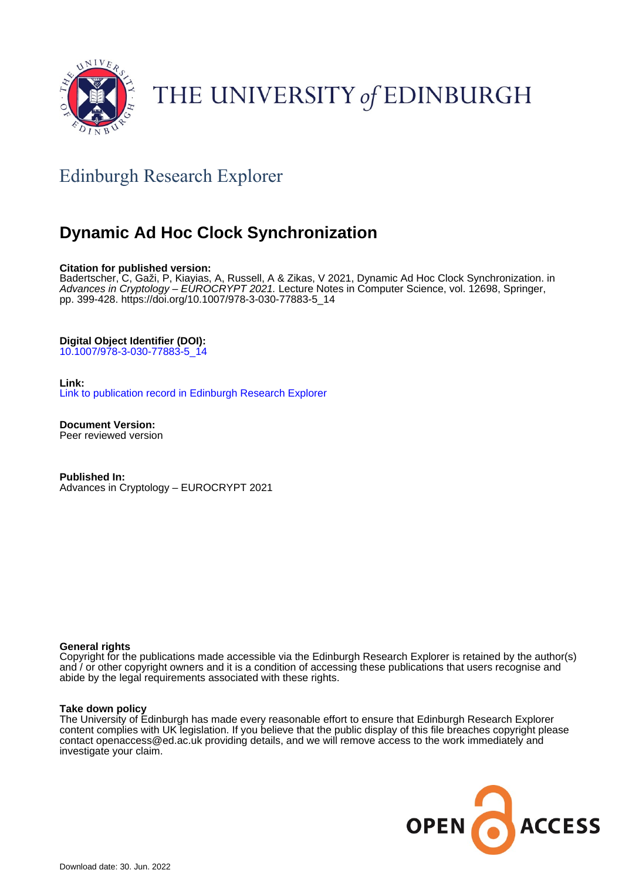

# THE UNIVERSITY of EDINBURGH

## Edinburgh Research Explorer

### **Dynamic Ad Hoc Clock Synchronization**

#### **Citation for published version:**

Badertscher, C, Gaži, P, Kiayias, A, Russell, A & Zikas, V 2021, Dynamic Ad Hoc Clock Synchronization. in Advances in Cryptology – EUROCRYPT 2021. Lecture Notes in Computer Science, vol. 12698, Springer, pp. 399-428. [https://doi.org/10.1007/978-3-030-77883-5\\_14](https://doi.org/10.1007/978-3-030-77883-5_14)

#### **Digital Object Identifier (DOI):**

[10.1007/978-3-030-77883-5\\_14](https://doi.org/10.1007/978-3-030-77883-5_14)

#### **Link:**

[Link to publication record in Edinburgh Research Explorer](https://www.research.ed.ac.uk/en/publications/bd43dada-d0cc-4630-9218-e9d06572af9b)

**Document Version:** Peer reviewed version

**Published In:** Advances in Cryptology – EUROCRYPT 2021

#### **General rights**

Copyright for the publications made accessible via the Edinburgh Research Explorer is retained by the author(s) and / or other copyright owners and it is a condition of accessing these publications that users recognise and abide by the legal requirements associated with these rights.

#### **Take down policy**

The University of Edinburgh has made every reasonable effort to ensure that Edinburgh Research Explorer content complies with UK legislation. If you believe that the public display of this file breaches copyright please contact openaccess@ed.ac.uk providing details, and we will remove access to the work immediately and investigate your claim.

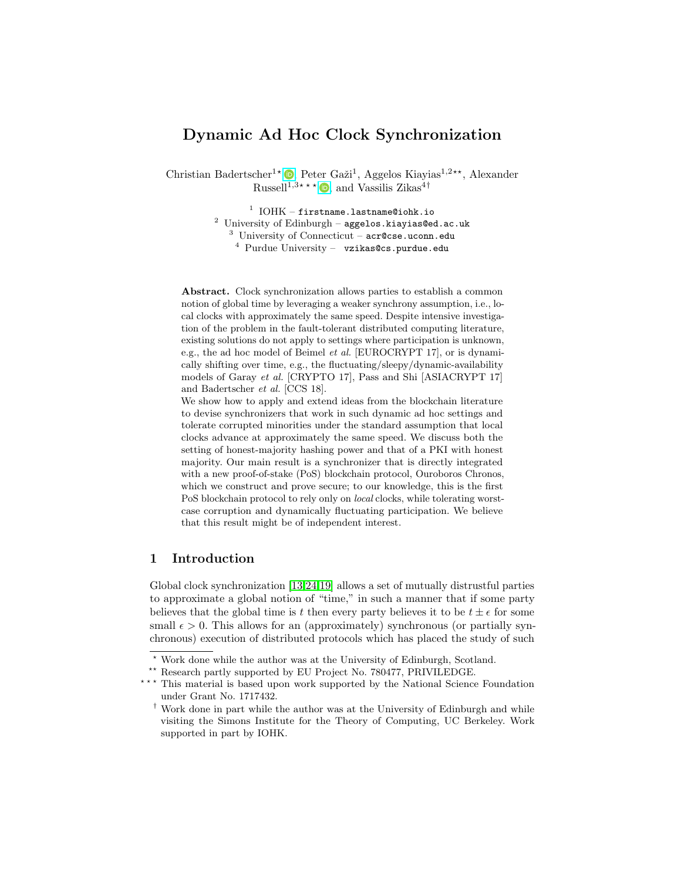### Dynamic Ad Hoc Clock Synchronization

Christian Badertscher<sup>1\*</sup> D[,](https://orcid.org/0000-0002-1353-1922) Peter Gaži<sup>1</sup>, Aggelos Kiayias<sup>1,2\*\*</sup>, Alexander Russell<sup>1[,](https://orcid.org/0000-0002-8228-6238)3\*\*\*</sup>  $\bullet$ , and Vassilis Zikas<sup>4†</sup>

> $^1$  IOHK – firstname.lastname@iohk.io  $^2$  University of Edinburgh –  $\mathtt{agelos.kiayias@ed.ac.uk}$ <sup>3</sup> University of Connecticut – acr@cse.uconn.edu  $4$  Purdue University – vzikas@cs.purdue.edu

Abstract. Clock synchronization allows parties to establish a common notion of global time by leveraging a weaker synchrony assumption, i.e., local clocks with approximately the same speed. Despite intensive investigation of the problem in the fault-tolerant distributed computing literature, existing solutions do not apply to settings where participation is unknown, e.g., the ad hoc model of Beimel et al. [EUROCRYPT 17], or is dynamically shifting over time, e.g., the fluctuating/sleepy/dynamic-availability models of Garay et al. [CRYPTO 17], Pass and Shi [ASIACRYPT 17] and Badertscher et al. [CCS 18].

We show how to apply and extend ideas from the blockchain literature to devise synchronizers that work in such dynamic ad hoc settings and tolerate corrupted minorities under the standard assumption that local clocks advance at approximately the same speed. We discuss both the setting of honest-majority hashing power and that of a PKI with honest majority. Our main result is a synchronizer that is directly integrated with a new proof-of-stake (PoS) blockchain protocol, Ouroboros Chronos, which we construct and prove secure; to our knowledge, this is the first PoS blockchain protocol to rely only on local clocks, while tolerating worstcase corruption and dynamically fluctuating participation. We believe that this result might be of independent interest.

#### 1 Introduction

Global clock synchronization [\[13](#page-29-0)[,24,](#page-30-0)[19\]](#page-29-1) allows a set of mutually distrustful parties to approximate a global notion of "time," in such a manner that if some party believes that the global time is t then every party believes it to be  $t \pm \epsilon$  for some small  $\epsilon > 0$ . This allows for an (approximately) synchronous (or partially synchronous) execution of distributed protocols which has placed the study of such

<sup>?</sup> Work done while the author was at the University of Edinburgh, Scotland.

<sup>\*\*</sup> Research partly supported by EU Project No. 780477, PRIVILEDGE.

<sup>\*\*\*</sup> This material is based upon work supported by the National Science Foundation under Grant No. 1717432.

<sup>†</sup> Work done in part while the author was at the University of Edinburgh and while visiting the Simons Institute for the Theory of Computing, UC Berkeley. Work supported in part by IOHK.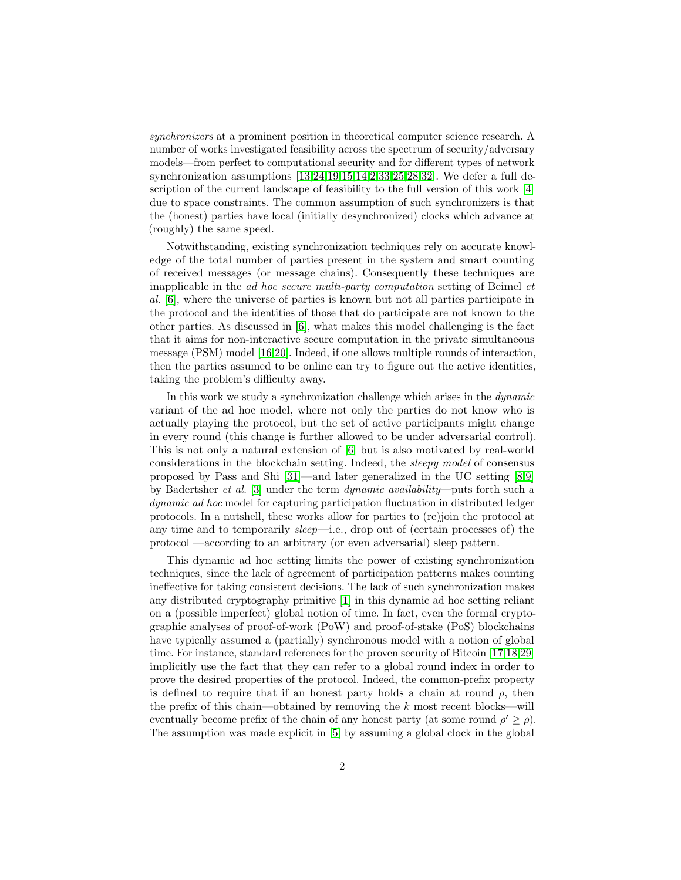synchronizers at a prominent position in theoretical computer science research. A number of works investigated feasibility across the spectrum of security/adversary models—from perfect to computational security and for different types of network synchronization assumptions [\[13,](#page-29-0)[24,](#page-30-0)[19](#page-29-1)[,15](#page-29-2)[,14,](#page-29-3)[2,](#page-28-0)[33](#page-30-1)[,25](#page-30-2)[,28](#page-30-3)[,32\]](#page-30-4). We defer a full description of the current landscape of feasibility to the full version of this work [\[4\]](#page-28-1) due to space constraints. The common assumption of such synchronizers is that the (honest) parties have local (initially desynchronized) clocks which advance at (roughly) the same speed.

Notwithstanding, existing synchronization techniques rely on accurate knowledge of the total number of parties present in the system and smart counting of received messages (or message chains). Consequently these techniques are inapplicable in the ad hoc secure multi-party computation setting of Beimel et al. [\[6\]](#page-29-4), where the universe of parties is known but not all parties participate in the protocol and the identities of those that do participate are not known to the other parties. As discussed in [\[6\]](#page-29-4), what makes this model challenging is the fact that it aims for non-interactive secure computation in the private simultaneous message (PSM) model [\[16](#page-29-5)[,20\]](#page-29-6). Indeed, if one allows multiple rounds of interaction, then the parties assumed to be online can try to figure out the active identities, taking the problem's difficulty away.

In this work we study a synchronization challenge which arises in the dynamic variant of the ad hoc model, where not only the parties do not know who is actually playing the protocol, but the set of active participants might change in every round (this change is further allowed to be under adversarial control). This is not only a natural extension of [\[6\]](#page-29-4) but is also motivated by real-world considerations in the blockchain setting. Indeed, the sleepy model of consensus proposed by Pass and Shi [\[31\]](#page-30-5)—and later generalized in the UC setting [\[8,](#page-29-7)[9\]](#page-29-8) by Badertsher et al. [\[3\]](#page-28-2) under the term dynamic availability—puts forth such a dynamic ad hoc model for capturing participation fluctuation in distributed ledger protocols. In a nutshell, these works allow for parties to (re)join the protocol at any time and to temporarily sleep—i.e., drop out of (certain processes of) the protocol —according to an arbitrary (or even adversarial) sleep pattern.

This dynamic ad hoc setting limits the power of existing synchronization techniques, since the lack of agreement of participation patterns makes counting ineffective for taking consistent decisions. The lack of such synchronization makes any distributed cryptography primitive [\[1\]](#page-28-3) in this dynamic ad hoc setting reliant on a (possible imperfect) global notion of time. In fact, even the formal cryptographic analyses of proof-of-work (PoW) and proof-of-stake (PoS) blockchains have typically assumed a (partially) synchronous model with a notion of global time. For instance, standard references for the proven security of Bitcoin [\[17,](#page-29-9)[18](#page-29-10)[,29\]](#page-30-6) implicitly use the fact that they can refer to a global round index in order to prove the desired properties of the protocol. Indeed, the common-prefix property is defined to require that if an honest party holds a chain at round  $\rho$ , then the prefix of this chain—obtained by removing the  $k$  most recent blocks—will eventually become prefix of the chain of any honest party (at some round  $\rho' \geq \rho$ ). The assumption was made explicit in [\[5\]](#page-28-4) by assuming a global clock in the global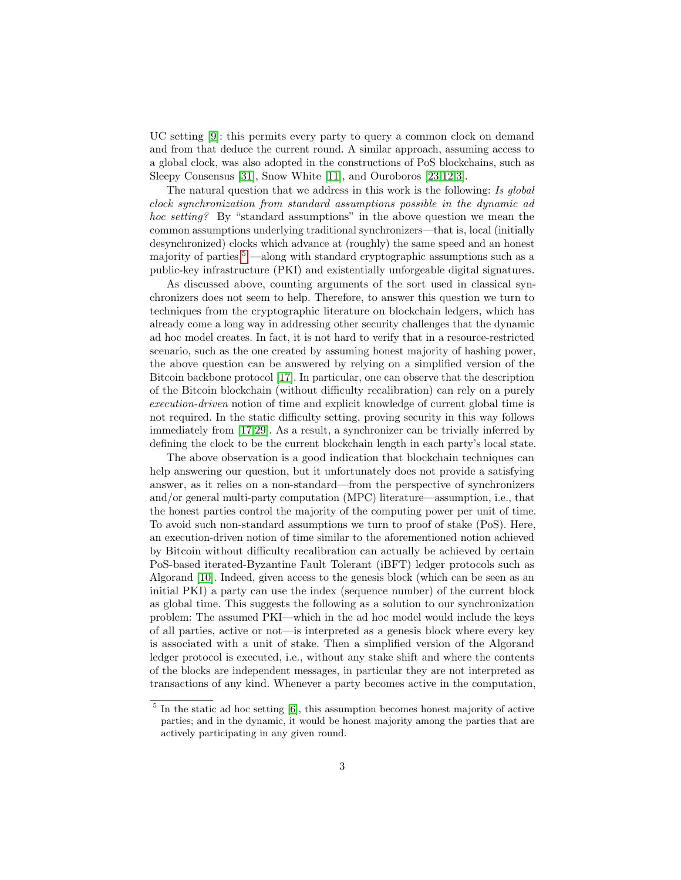UC setting [\[9\]](#page-29-8): this permits every party to query a common clock on demand and from that deduce the current round. A similar approach, assuming access to a global clock, was also adopted in the constructions of PoS blockchains, such as Sleepy Consensus [\[31\]](#page-30-5), Snow White [\[11\]](#page-29-11), and Ouroboros [\[23,](#page-30-7)[12,](#page-29-12)[3\]](#page-28-2).

The natural question that we address in this work is the following: Is global clock synchronization from standard assumptions possible in the dynamic ad hoc setting? By "standard assumptions" in the above question we mean the common assumptions underlying traditional synchronizers—that is, local (initially desynchronized) clocks which advance at (roughly) the same speed and an honest majority of parties.<sup>[5](#page-3-0)</sup> —along with standard cryptographic assumptions such as a public-key infrastructure (PKI) and existentially unforgeable digital signatures.

As discussed above, counting arguments of the sort used in classical synchronizers does not seem to help. Therefore, to answer this question we turn to techniques from the cryptographic literature on blockchain ledgers, which has already come a long way in addressing other security challenges that the dynamic ad hoc model creates. In fact, it is not hard to verify that in a resource-restricted scenario, such as the one created by assuming honest majority of hashing power, the above question can be answered by relying on a simplified version of the Bitcoin backbone protocol [\[17\]](#page-29-9). In particular, one can observe that the description of the Bitcoin blockchain (without difficulty recalibration) can rely on a purely execution-driven notion of time and explicit knowledge of current global time is not required. In the static difficulty setting, proving security in this way follows immediately from [\[17,](#page-29-9)[29\]](#page-30-6). As a result, a synchronizer can be trivially inferred by defining the clock to be the current blockchain length in each party's local state.

The above observation is a good indication that blockchain techniques can help answering our question, but it unfortunately does not provide a satisfying answer, as it relies on a non-standard—from the perspective of synchronizers and/or general multi-party computation (MPC) literature—assumption, i.e., that the honest parties control the majority of the computing power per unit of time. To avoid such non-standard assumptions we turn to proof of stake (PoS). Here, an execution-driven notion of time similar to the aforementioned notion achieved by Bitcoin without difficulty recalibration can actually be achieved by certain PoS-based iterated-Byzantine Fault Tolerant (iBFT) ledger protocols such as Algorand [\[10\]](#page-29-13). Indeed, given access to the genesis block (which can be seen as an initial PKI) a party can use the index (sequence number) of the current block as global time. This suggests the following as a solution to our synchronization problem: The assumed PKI—which in the ad hoc model would include the keys of all parties, active or not—is interpreted as a genesis block where every key is associated with a unit of stake. Then a simplified version of the Algorand ledger protocol is executed, i.e., without any stake shift and where the contents of the blocks are independent messages, in particular they are not interpreted as transactions of any kind. Whenever a party becomes active in the computation,

<span id="page-3-0"></span><sup>&</sup>lt;sup>5</sup> In the static ad hoc setting [\[6\]](#page-29-4), this assumption becomes honest majority of active parties; and in the dynamic, it would be honest majority among the parties that are actively participating in any given round.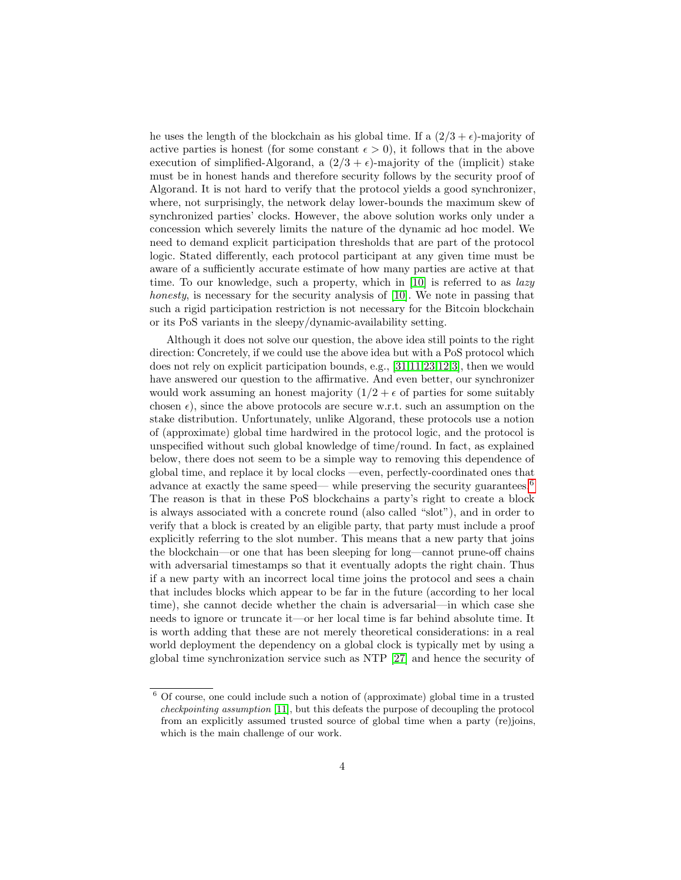he uses the length of the blockchain as his global time. If a  $(2/3 + \epsilon)$ -majority of active parties is honest (for some constant  $\epsilon > 0$ ), it follows that in the above execution of simplified-Algorand, a  $(2/3 + \epsilon)$ -majority of the (implicit) stake must be in honest hands and therefore security follows by the security proof of Algorand. It is not hard to verify that the protocol yields a good synchronizer, where, not surprisingly, the network delay lower-bounds the maximum skew of synchronized parties' clocks. However, the above solution works only under a concession which severely limits the nature of the dynamic ad hoc model. We need to demand explicit participation thresholds that are part of the protocol logic. Stated differently, each protocol participant at any given time must be aware of a sufficiently accurate estimate of how many parties are active at that time. To our knowledge, such a property, which in [\[10\]](#page-29-13) is referred to as  $lazy$ honesty, is necessary for the security analysis of [\[10\]](#page-29-13). We note in passing that such a rigid participation restriction is not necessary for the Bitcoin blockchain or its PoS variants in the sleepy/dynamic-availability setting.

Although it does not solve our question, the above idea still points to the right direction: Concretely, if we could use the above idea but with a PoS protocol which does not rely on explicit participation bounds, e.g., [\[31](#page-30-5)[,11](#page-29-11)[,23,](#page-30-7)[12](#page-29-12)[,3\]](#page-28-2), then we would have answered our question to the affirmative. And even better, our synchronizer would work assuming an honest majority  $(1/2 + \epsilon)$  of parties for some suitably chosen  $\epsilon$ ), since the above protocols are secure w.r.t. such an assumption on the stake distribution. Unfortunately, unlike Algorand, these protocols use a notion of (approximate) global time hardwired in the protocol logic, and the protocol is unspecified without such global knowledge of time/round. In fact, as explained below, there does not seem to be a simple way to removing this dependence of global time, and replace it by local clocks —even, perfectly-coordinated ones that advance at exactly the same speed— while preserving the security guarantees.<sup>[6](#page-4-0)</sup> The reason is that in these PoS blockchains a party's right to create a block is always associated with a concrete round (also called "slot"), and in order to verify that a block is created by an eligible party, that party must include a proof explicitly referring to the slot number. This means that a new party that joins the blockchain—or one that has been sleeping for long—cannot prune-off chains with adversarial timestamps so that it eventually adopts the right chain. Thus if a new party with an incorrect local time joins the protocol and sees a chain that includes blocks which appear to be far in the future (according to her local time), she cannot decide whether the chain is adversarial—in which case she needs to ignore or truncate it—or her local time is far behind absolute time. It is worth adding that these are not merely theoretical considerations: in a real world deployment the dependency on a global clock is typically met by using a global time synchronization service such as NTP [\[27\]](#page-30-8) and hence the security of

<span id="page-4-0"></span> $^6$  Of course, one could include such a notion of (approximate) global time in a trusted checkpointing assumption [\[11\]](#page-29-11), but this defeats the purpose of decoupling the protocol from an explicitly assumed trusted source of global time when a party (re)joins, which is the main challenge of our work.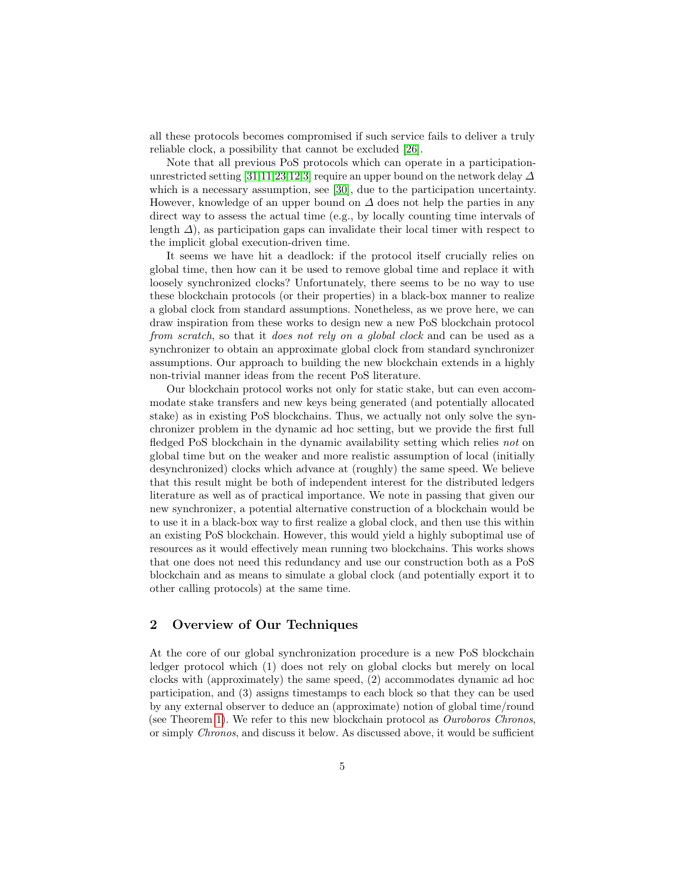all these protocols becomes compromised if such service fails to deliver a truly reliable clock, a possibility that cannot be excluded [\[26\]](#page-30-9).

Note that all previous PoS protocols which can operate in a participation-unrestricted setting [\[31,](#page-30-5)[11,](#page-29-11)[23](#page-30-7)[,12,](#page-29-12)[3\]](#page-28-2) require an upper bound on the network delay  $\Delta$ which is a necessary assumption, see [\[30\]](#page-30-10), due to the participation uncertainty. However, knowledge of an upper bound on  $\Delta$  does not help the parties in any direct way to assess the actual time (e.g., by locally counting time intervals of length  $\Delta$ ), as participation gaps can invalidate their local timer with respect to the implicit global execution-driven time.

It seems we have hit a deadlock: if the protocol itself crucially relies on global time, then how can it be used to remove global time and replace it with loosely synchronized clocks? Unfortunately, there seems to be no way to use these blockchain protocols (or their properties) in a black-box manner to realize a global clock from standard assumptions. Nonetheless, as we prove here, we can draw inspiration from these works to design new a new PoS blockchain protocol from scratch, so that it does not rely on a global clock and can be used as a synchronizer to obtain an approximate global clock from standard synchronizer assumptions. Our approach to building the new blockchain extends in a highly non-trivial manner ideas from the recent PoS literature.

Our blockchain protocol works not only for static stake, but can even accommodate stake transfers and new keys being generated (and potentially allocated stake) as in existing PoS blockchains. Thus, we actually not only solve the synchronizer problem in the dynamic ad hoc setting, but we provide the first full fledged PoS blockchain in the dynamic availability setting which relies not on global time but on the weaker and more realistic assumption of local (initially desynchronized) clocks which advance at (roughly) the same speed. We believe that this result might be both of independent interest for the distributed ledgers literature as well as of practical importance. We note in passing that given our new synchronizer, a potential alternative construction of a blockchain would be to use it in a black-box way to first realize a global clock, and then use this within an existing PoS blockchain. However, this would yield a highly suboptimal use of resources as it would effectively mean running two blockchains. This works shows that one does not need this redundancy and use our construction both as a PoS blockchain and as means to simulate a global clock (and potentially export it to other calling protocols) at the same time.

#### 2 Overview of Our Techniques

At the core of our global synchronization procedure is a new PoS blockchain ledger protocol which (1) does not rely on global clocks but merely on local clocks with (approximately) the same speed, (2) accommodates dynamic ad hoc participation, and (3) assigns timestamps to each block so that they can be used by any external observer to deduce an (approximate) notion of global time/round (see Theorem [1\)](#page-9-0). We refer to this new blockchain protocol as Ouroboros Chronos, or simply Chronos, and discuss it below. As discussed above, it would be sufficient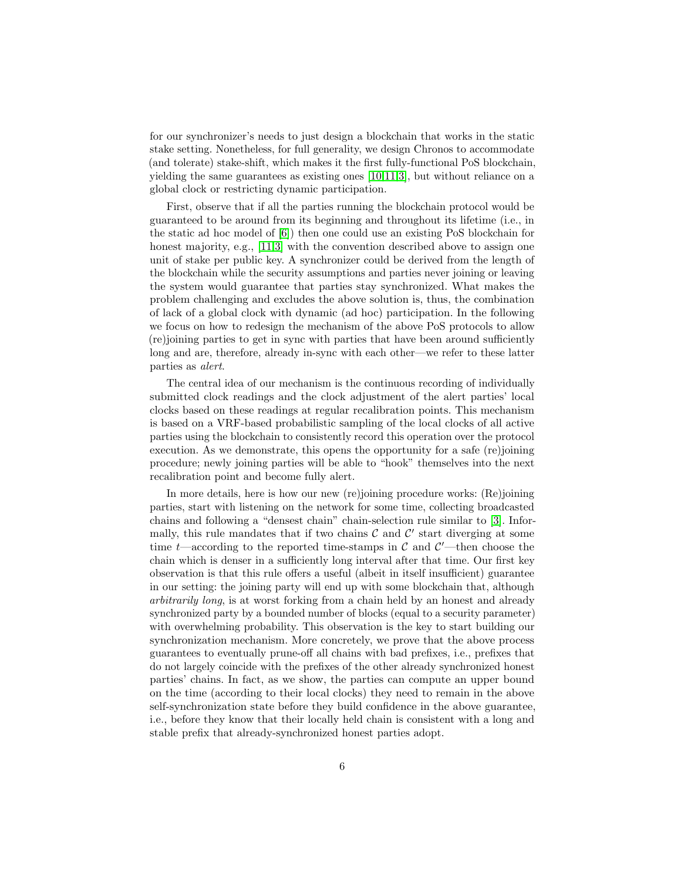for our synchronizer's needs to just design a blockchain that works in the static stake setting. Nonetheless, for full generality, we design Chronos to accommodate (and tolerate) stake-shift, which makes it the first fully-functional PoS blockchain, yielding the same guarantees as existing ones [\[10](#page-29-13)[,11,](#page-29-11)[3\]](#page-28-2), but without reliance on a global clock or restricting dynamic participation.

First, observe that if all the parties running the blockchain protocol would be guaranteed to be around from its beginning and throughout its lifetime (i.e., in the static ad hoc model of [\[6\]](#page-29-4)) then one could use an existing PoS blockchain for honest majority, e.g., [\[11](#page-29-11)[,3\]](#page-28-2) with the convention described above to assign one unit of stake per public key. A synchronizer could be derived from the length of the blockchain while the security assumptions and parties never joining or leaving the system would guarantee that parties stay synchronized. What makes the problem challenging and excludes the above solution is, thus, the combination of lack of a global clock with dynamic (ad hoc) participation. In the following we focus on how to redesign the mechanism of the above PoS protocols to allow (re)joining parties to get in sync with parties that have been around sufficiently long and are, therefore, already in-sync with each other—we refer to these latter parties as alert.

The central idea of our mechanism is the continuous recording of individually submitted clock readings and the clock adjustment of the alert parties' local clocks based on these readings at regular recalibration points. This mechanism is based on a VRF-based probabilistic sampling of the local clocks of all active parties using the blockchain to consistently record this operation over the protocol execution. As we demonstrate, this opens the opportunity for a safe (re)joining procedure; newly joining parties will be able to "hook" themselves into the next recalibration point and become fully alert.

In more details, here is how our new (re)joining procedure works: (Re)joining parties, start with listening on the network for some time, collecting broadcasted chains and following a "densest chain" chain-selection rule similar to [\[3\]](#page-28-2). Informally, this rule mandates that if two chains  $\mathcal C$  and  $\mathcal C'$  start diverging at some time  $t$ —according to the reported time-stamps in  $\mathcal C$  and  $\mathcal C'$ —then choose the chain which is denser in a sufficiently long interval after that time. Our first key observation is that this rule offers a useful (albeit in itself insufficient) guarantee in our setting: the joining party will end up with some blockchain that, although arbitrarily long, is at worst forking from a chain held by an honest and already synchronized party by a bounded number of blocks (equal to a security parameter) with overwhelming probability. This observation is the key to start building our synchronization mechanism. More concretely, we prove that the above process guarantees to eventually prune-off all chains with bad prefixes, i.e., prefixes that do not largely coincide with the prefixes of the other already synchronized honest parties' chains. In fact, as we show, the parties can compute an upper bound on the time (according to their local clocks) they need to remain in the above self-synchronization state before they build confidence in the above guarantee, i.e., before they know that their locally held chain is consistent with a long and stable prefix that already-synchronized honest parties adopt.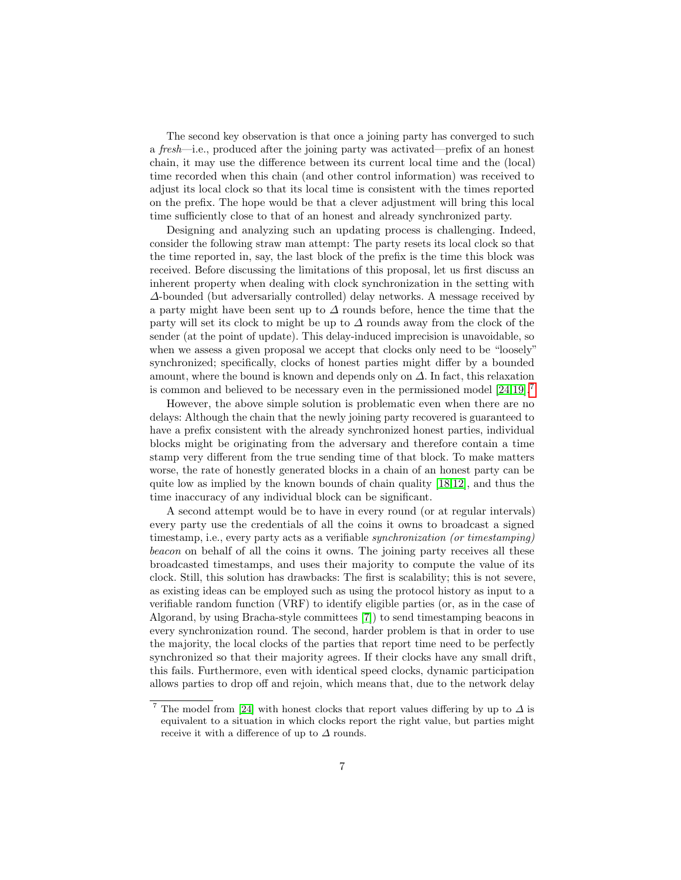The second key observation is that once a joining party has converged to such a fresh—i.e., produced after the joining party was activated—prefix of an honest chain, it may use the difference between its current local time and the (local) time recorded when this chain (and other control information) was received to adjust its local clock so that its local time is consistent with the times reported on the prefix. The hope would be that a clever adjustment will bring this local time sufficiently close to that of an honest and already synchronized party.

Designing and analyzing such an updating process is challenging. Indeed, consider the following straw man attempt: The party resets its local clock so that the time reported in, say, the last block of the prefix is the time this block was received. Before discussing the limitations of this proposal, let us first discuss an inherent property when dealing with clock synchronization in the setting with ∆-bounded (but adversarially controlled) delay networks. A message received by a party might have been sent up to  $\Delta$  rounds before, hence the time that the party will set its clock to might be up to  $\Delta$  rounds away from the clock of the sender (at the point of update). This delay-induced imprecision is unavoidable, so when we assess a given proposal we accept that clocks only need to be "loosely" synchronized; specifically, clocks of honest parties might differ by a bounded amount, where the bound is known and depends only on  $\Delta$ . In fact, this relaxation is common and believed to be necessary even in the permissioned model  $[24,19]$  $[24,19]$ .

However, the above simple solution is problematic even when there are no delays: Although the chain that the newly joining party recovered is guaranteed to have a prefix consistent with the already synchronized honest parties, individual blocks might be originating from the adversary and therefore contain a time stamp very different from the true sending time of that block. To make matters worse, the rate of honestly generated blocks in a chain of an honest party can be quite low as implied by the known bounds of chain quality [\[18](#page-29-10)[,12\]](#page-29-12), and thus the time inaccuracy of any individual block can be significant.

A second attempt would be to have in every round (or at regular intervals) every party use the credentials of all the coins it owns to broadcast a signed timestamp, i.e., every party acts as a verifiable synchronization (or timestamping) beacon on behalf of all the coins it owns. The joining party receives all these broadcasted timestamps, and uses their majority to compute the value of its clock. Still, this solution has drawbacks: The first is scalability; this is not severe, as existing ideas can be employed such as using the protocol history as input to a verifiable random function (VRF) to identify eligible parties (or, as in the case of Algorand, by using Bracha-style committees [\[7\]](#page-29-14)) to send timestamping beacons in every synchronization round. The second, harder problem is that in order to use the majority, the local clocks of the parties that report time need to be perfectly synchronized so that their majority agrees. If their clocks have any small drift, this fails. Furthermore, even with identical speed clocks, dynamic participation allows parties to drop off and rejoin, which means that, due to the network delay

<span id="page-7-0"></span><sup>&</sup>lt;sup>7</sup> The model from [\[24\]](#page-30-0) with honest clocks that report values differing by up to  $\Delta$  is equivalent to a situation in which clocks report the right value, but parties might receive it with a difference of up to  $\Delta$  rounds.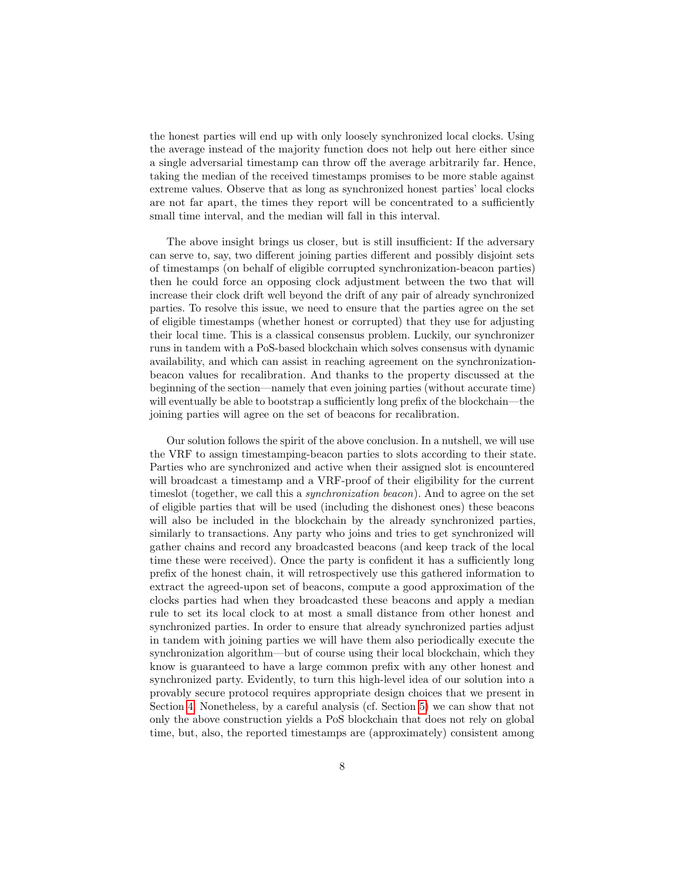the honest parties will end up with only loosely synchronized local clocks. Using the average instead of the majority function does not help out here either since a single adversarial timestamp can throw off the average arbitrarily far. Hence, taking the median of the received timestamps promises to be more stable against extreme values. Observe that as long as synchronized honest parties' local clocks are not far apart, the times they report will be concentrated to a sufficiently small time interval, and the median will fall in this interval.

The above insight brings us closer, but is still insufficient: If the adversary can serve to, say, two different joining parties different and possibly disjoint sets of timestamps (on behalf of eligible corrupted synchronization-beacon parties) then he could force an opposing clock adjustment between the two that will increase their clock drift well beyond the drift of any pair of already synchronized parties. To resolve this issue, we need to ensure that the parties agree on the set of eligible timestamps (whether honest or corrupted) that they use for adjusting their local time. This is a classical consensus problem. Luckily, our synchronizer runs in tandem with a PoS-based blockchain which solves consensus with dynamic availability, and which can assist in reaching agreement on the synchronizationbeacon values for recalibration. And thanks to the property discussed at the beginning of the section—namely that even joining parties (without accurate time) will eventually be able to bootstrap a sufficiently long prefix of the blockchain—the joining parties will agree on the set of beacons for recalibration.

Our solution follows the spirit of the above conclusion. In a nutshell, we will use the VRF to assign timestamping-beacon parties to slots according to their state. Parties who are synchronized and active when their assigned slot is encountered will broadcast a timestamp and a VRF-proof of their eligibility for the current timeslot (together, we call this a *synchronization beacon*). And to agree on the set of eligible parties that will be used (including the dishonest ones) these beacons will also be included in the blockchain by the already synchronized parties, similarly to transactions. Any party who joins and tries to get synchronized will gather chains and record any broadcasted beacons (and keep track of the local time these were received). Once the party is confident it has a sufficiently long prefix of the honest chain, it will retrospectively use this gathered information to extract the agreed-upon set of beacons, compute a good approximation of the clocks parties had when they broadcasted these beacons and apply a median rule to set its local clock to at most a small distance from other honest and synchronized parties. In order to ensure that already synchronized parties adjust in tandem with joining parties we will have them also periodically execute the synchronization algorithm—but of course using their local blockchain, which they know is guaranteed to have a large common prefix with any other honest and synchronized party. Evidently, to turn this high-level idea of our solution into a provably secure protocol requires appropriate design choices that we present in Section [4.](#page-13-0) Nonetheless, by a careful analysis (cf. Section [5\)](#page-22-0) we can show that not only the above construction yields a PoS blockchain that does not rely on global time, but, also, the reported timestamps are (approximately) consistent among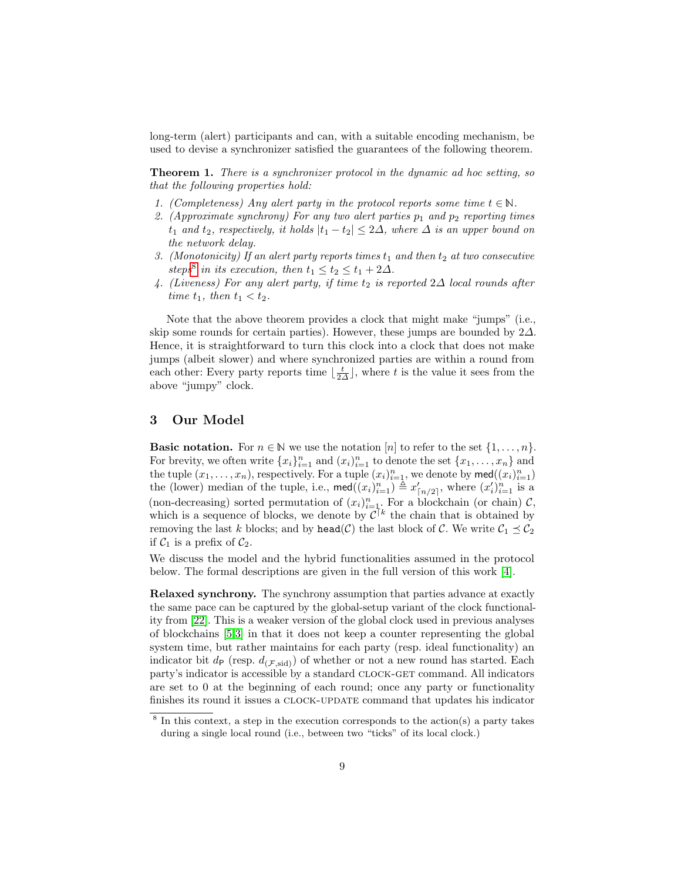long-term (alert) participants and can, with a suitable encoding mechanism, be used to devise a synchronizer satisfied the guarantees of the following theorem.

<span id="page-9-0"></span>**Theorem 1.** There is a synchronizer protocol in the dynamic ad hoc setting, so that the following properties hold:

- 1. (Completeness) Any alert party in the protocol reports some time  $t \in \mathbb{N}$ .
- 2. (Approximate synchrony) For any two alert parties  $p_1$  and  $p_2$  reporting times  $t_1$  and  $t_2$ , respectively, it holds  $|t_1 - t_2| \leq 2\Delta$ , where  $\Delta$  is an upper bound on the network delay.
- 3. (Monotonicity) If an alert party reports times  $t_1$  and then  $t_2$  at two consecutive steps<sup>[8](#page-9-1)</sup> in its execution, then  $t_1 \le t_2 \le t_1 + 2\Delta$ .
- 4. (Liveness) For any alert party, if time  $t_2$  is reported  $2\Delta$  local rounds after time  $t_1$ , then  $t_1 < t_2$ .

Note that the above theorem provides a clock that might make "jumps" (i.e., skip some rounds for certain parties). However, these jumps are bounded by  $2\Delta$ . Hence, it is straightforward to turn this clock into a clock that does not make jumps (albeit slower) and where synchronized parties are within a round from each other: Every party reports time  $\lfloor \frac{t}{2\Delta} \rfloor$ , where t is the value it sees from the above "jumpy" clock.

#### 3 Our Model

**Basic notation.** For  $n \in \mathbb{N}$  we use the notation [n] to refer to the set  $\{1, \ldots, n\}$ . For brevity, we often write  ${x_i}_{i=1}^n$  and  $(x_i)_{i=1}^n$  to denote the set  ${x_1, \ldots, x_n}$  and the tuple  $(x_1, \ldots, x_n)$ , respectively. For a tuple  $(x_i)_{i=1}^n$ , we denote by  $\textsf{med}((x_i)_{i=1}^n)$ the (lower) median of the tuple, i.e.,  $\text{med}((x_i)_{i=1}^n) \triangleq x'_{\lceil n/2 \rceil}$ , where  $(x'_i)_{i=1}^n$  is a (non-decreasing) sorted permutation of  $(x_i)_{i=1}^n$ . For a blockchain (or chain)  $\mathcal{C}$ , which is a sequence of blocks, we denote by  $\mathcal{C}^{k}$  the chain that is obtained by removing the last k blocks; and by head(C) the last block of C. We write  $C_1 \preceq C_2$ if  $C_1$  is a prefix of  $C_2$ .

We discuss the model and the hybrid functionalities assumed in the protocol below. The formal descriptions are given in the full version of this work [\[4\]](#page-28-1).

Relaxed synchrony. The synchrony assumption that parties advance at exactly the same pace can be captured by the global-setup variant of the clock functionality from [\[22\]](#page-30-11). This is a weaker version of the global clock used in previous analyses of blockchains [\[5,](#page-28-4)[3\]](#page-28-2) in that it does not keep a counter representing the global system time, but rather maintains for each party (resp. ideal functionality) an indicator bit  $d_{\mathsf{P}}$  (resp.  $d_{(\mathcal{F},\text{sid})})$  of whether or not a new round has started. Each party's indicator is accessible by a standard clock-get command. All indicators are set to 0 at the beginning of each round; once any party or functionality finishes its round it issues a clock-update command that updates his indicator

<span id="page-9-1"></span><sup>&</sup>lt;sup>8</sup> In this context, a step in the execution corresponds to the action(s) a party takes during a single local round (i.e., between two "ticks" of its local clock.)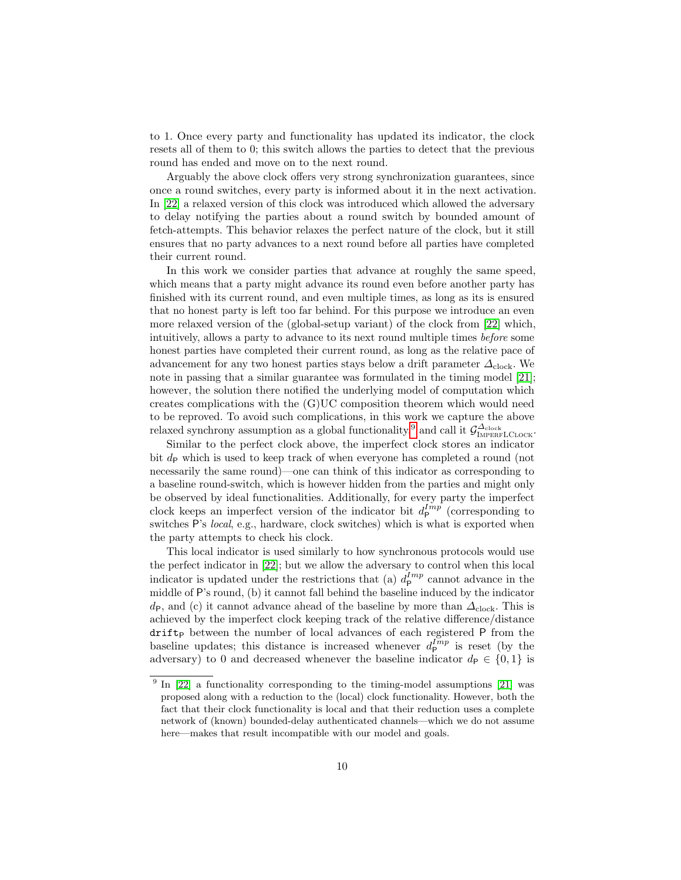to 1. Once every party and functionality has updated its indicator, the clock resets all of them to 0; this switch allows the parties to detect that the previous round has ended and move on to the next round.

Arguably the above clock offers very strong synchronization guarantees, since once a round switches, every party is informed about it in the next activation. In [\[22\]](#page-30-11) a relaxed version of this clock was introduced which allowed the adversary to delay notifying the parties about a round switch by bounded amount of fetch-attempts. This behavior relaxes the perfect nature of the clock, but it still ensures that no party advances to a next round before all parties have completed their current round.

In this work we consider parties that advance at roughly the same speed, which means that a party might advance its round even before another party has finished with its current round, and even multiple times, as long as its is ensured that no honest party is left too far behind. For this purpose we introduce an even more relaxed version of the (global-setup variant) of the clock from [\[22\]](#page-30-11) which, intuitively, allows a party to advance to its next round multiple times before some honest parties have completed their current round, as long as the relative pace of advancement for any two honest parties stays below a drift parameter  $\Delta_{\rm clock}$ . We note in passing that a similar guarantee was formulated in the timing model [\[21\]](#page-29-15); however, the solution there notified the underlying model of computation which creates complications with the  $(G)UC$  composition theorem which would need to be reproved. To avoid such complications, in this work we capture the above relaxed synchrony assumption as a global functionality.<sup>[9](#page-10-0)</sup> and call it  $\mathcal{G}_{\text{IMPERFLCLOCK}}^{\Delta_{\text{clock}}}$ .

Similar to the perfect clock above, the imperfect clock stores an indicator bit  $d_{\mathsf{P}}$  which is used to keep track of when everyone has completed a round (not necessarily the same round)—one can think of this indicator as corresponding to a baseline round-switch, which is however hidden from the parties and might only be observed by ideal functionalities. Additionally, for every party the imperfect clock keeps an imperfect version of the indicator bit  $d_{\mathsf{P}}^{Imp}$  (corresponding to switches P's local, e.g., hardware, clock switches) which is what is exported when the party attempts to check his clock.

This local indicator is used similarly to how synchronous protocols would use the perfect indicator in [\[22\]](#page-30-11); but we allow the adversary to control when this local indicator is updated under the restrictions that (a)  $d_{\rm P}^{Imp}$  cannot advance in the middle of P's round, (b) it cannot fall behind the baseline induced by the indicator  $d_{\mathsf{P}}$ , and (c) it cannot advance ahead of the baseline by more than  $\Delta_{\text{clock}}$ . This is achieved by the imperfect clock keeping track of the relative difference/distance  $drift<sub>P</sub>$  between the number of local advances of each registered  $P$  from the baseline updates; this distance is increased whenever  $d_{\mathsf{P}}^{Imp}$  is reset (by the adversary) to 0 and decreased whenever the baseline indicator  $d_P \in \{0, 1\}$  is

<span id="page-10-0"></span><sup>&</sup>lt;sup>9</sup> In [\[22\]](#page-30-11) a functionality corresponding to the timing-model assumptions [\[21\]](#page-29-15) was proposed along with a reduction to the (local) clock functionality. However, both the fact that their clock functionality is local and that their reduction uses a complete network of (known) bounded-delay authenticated channels—which we do not assume here—makes that result incompatible with our model and goals.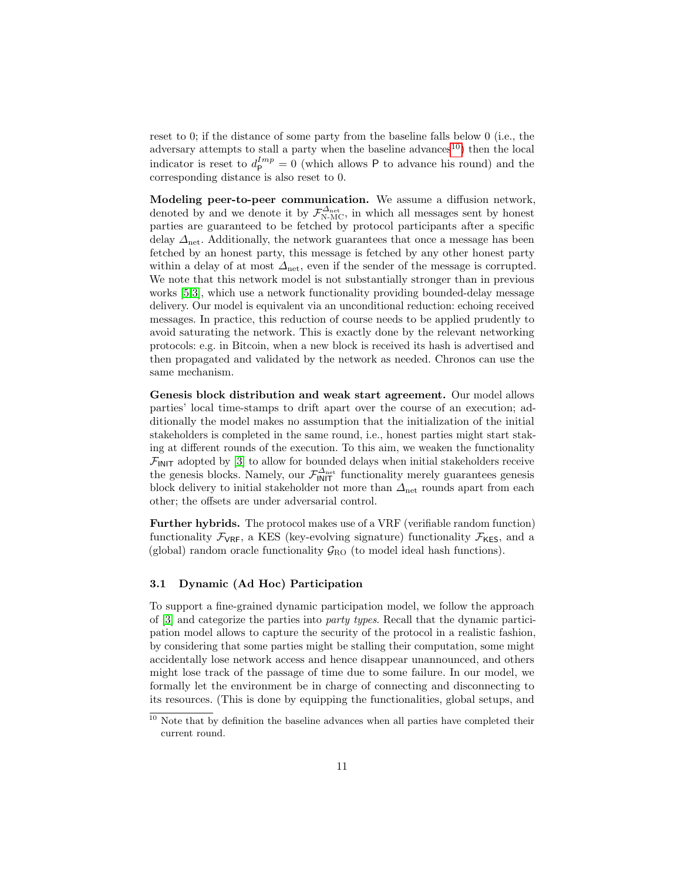reset to 0; if the distance of some party from the baseline falls below 0 (i.e., the adversary attempts to stall a party when the baseline advances<sup>[10](#page-11-0)</sup>) then the local indicator is reset to  $d_{\mathsf{P}}^{Imp} = 0$  (which allows P to advance his round) and the corresponding distance is also reset to 0.

Modeling peer-to-peer communication. We assume a diffusion network, denoted by and we denote it by  $\mathcal{F}_{N-MC}^{\Delta_{net}}$ , in which all messages sent by honest parties are guaranteed to be fetched by protocol participants after a specific delay  $\Delta_{\text{net}}$ . Additionally, the network guarantees that once a message has been fetched by an honest party, this message is fetched by any other honest party within a delay of at most  $\Delta_{\rm net}$ , even if the sender of the message is corrupted. We note that this network model is not substantially stronger than in previous works [\[5](#page-28-4)[,3\]](#page-28-2), which use a network functionality providing bounded-delay message delivery. Our model is equivalent via an unconditional reduction: echoing received messages. In practice, this reduction of course needs to be applied prudently to avoid saturating the network. This is exactly done by the relevant networking protocols: e.g. in Bitcoin, when a new block is received its hash is advertised and then propagated and validated by the network as needed. Chronos can use the same mechanism.

Genesis block distribution and weak start agreement. Our model allows parties' local time-stamps to drift apart over the course of an execution; additionally the model makes no assumption that the initialization of the initial stakeholders is completed in the same round, i.e., honest parties might start staking at different rounds of the execution. To this aim, we weaken the functionality  $\mathcal{F}_{\text{INIT}}$  adopted by [\[3\]](#page-28-2) to allow for bounded delays when initial stakeholders receive the genesis blocks. Namely, our  $\mathcal{F}^{\Delta_{\text{net}}}_{\text{INIT}}$  functionality merely guarantees genesis block delivery to initial stakeholder not more than  $\Delta_{\text{net}}$  rounds apart from each other; the offsets are under adversarial control.

Further hybrids. The protocol makes use of a VRF (verifiable random function) functionality  $\mathcal{F}_{VRF}$ , a KES (key-evolving signature) functionality  $\mathcal{F}_{KES}$ , and a (global) random oracle functionality  $\mathcal{G}_{\rm RO}$  (to model ideal hash functions).

#### <span id="page-11-1"></span>3.1 Dynamic (Ad Hoc) Participation

To support a fine-grained dynamic participation model, we follow the approach of [\[3\]](#page-28-2) and categorize the parties into party types. Recall that the dynamic participation model allows to capture the security of the protocol in a realistic fashion, by considering that some parties might be stalling their computation, some might accidentally lose network access and hence disappear unannounced, and others might lose track of the passage of time due to some failure. In our model, we formally let the environment be in charge of connecting and disconnecting to its resources. (This is done by equipping the functionalities, global setups, and

<span id="page-11-0"></span> $10$  Note that by definition the baseline advances when all parties have completed their current round.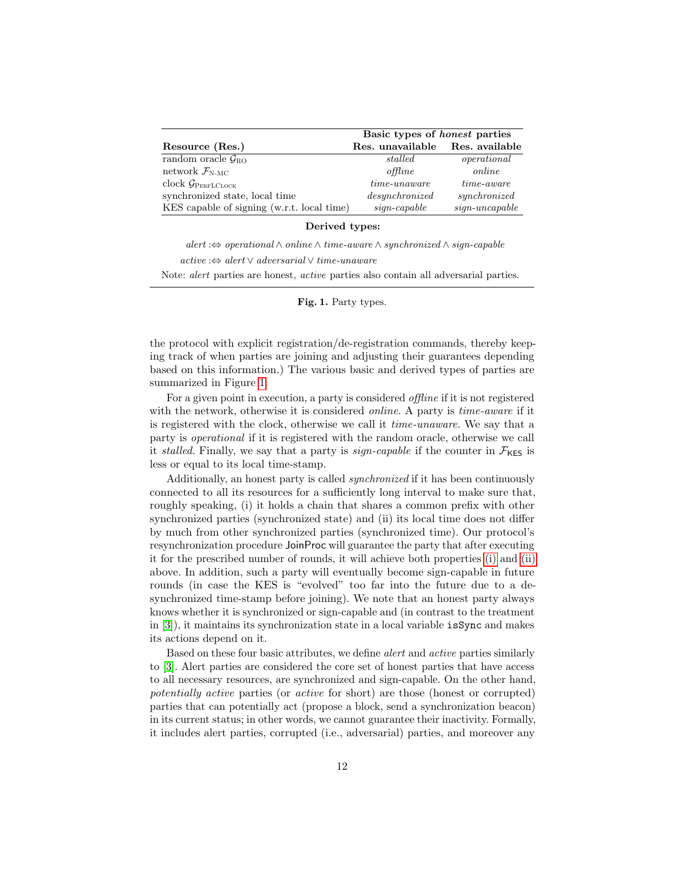|                                                                  | Basic types of <i>honest</i> parties |                         |
|------------------------------------------------------------------|--------------------------------------|-------------------------|
| Resource (Res.)                                                  | Res. unavailable Res. available      |                         |
| random oracle $\mathcal{G}_{\text{RO}}$                          | stalled                              | operational             |
| network $\mathcal{F}_{N-MC}$                                     | $of \theta$                          | online                  |
| $\operatorname{clock}$ $\mathcal{G}_{\operatorname{PerrLCLOCK}}$ | $time \text{-}unaware$               | $time\text{-}average$   |
| synchronized state, local time                                   | desynchronized                       | synchronized            |
| KES capable of signing (w.r.t. local time)                       | $sign-capable$                       | $sign\text{-}uncapable$ |

#### Derived types:

alert :⇔ operational ∧ online ∧ time-aware ∧ synchronized ∧ sign-capable active :⇔ alert ∨ adversarial ∨ time-unaware Note: alert parties are honest, active parties also contain all adversarial parties.

<span id="page-12-2"></span><span id="page-12-0"></span>Fig. 1. Party types.

the protocol with explicit registration/de-registration commands, thereby keeping track of when parties are joining and adjusting their guarantees depending based on this information.) The various basic and derived types of parties are summarized in Figure [1.](#page-12-0)

For a given point in execution, a party is considered offline if it is not registered with the network, otherwise it is considered *online*. A party is *time-aware* if it is registered with the clock, otherwise we call it time-unaware. We say that a party is operational if it is registered with the random oracle, otherwise we call it stalled. Finally, we say that a party is sign-capable if the counter in  $\mathcal{F}_{\text{KES}}$  is less or equal to its local time-stamp.

<span id="page-12-1"></span>Additionally, an honest party is called synchronized if it has been continuously connected to all its resources for a sufficiently long interval to make sure that, roughly speaking, (i) it holds a chain that shares a common prefix with other synchronized parties (synchronized state) and (ii) its local time does not differ by much from other synchronized parties (synchronized time). Our protocol's resynchronization procedure JoinProc will guarantee the party that after executing it for the prescribed number of rounds, it will achieve both properties [\(i\)](#page-12-1) and [\(ii\)](#page-12-2) above. In addition, such a party will eventually become sign-capable in future rounds (in case the KES is "evolved" too far into the future due to a desynchronized time-stamp before joining). We note that an honest party always knows whether it is synchronized or sign-capable and (in contrast to the treatment in [\[3\]](#page-28-2)), it maintains its synchronization state in a local variable isSync and makes its actions depend on it.

Based on these four basic attributes, we define alert and active parties similarly to [\[3\]](#page-28-2). Alert parties are considered the core set of honest parties that have access to all necessary resources, are synchronized and sign-capable. On the other hand, potentially active parties (or active for short) are those (honest or corrupted) parties that can potentially act (propose a block, send a synchronization beacon) in its current status; in other words, we cannot guarantee their inactivity. Formally, it includes alert parties, corrupted (i.e., adversarial) parties, and moreover any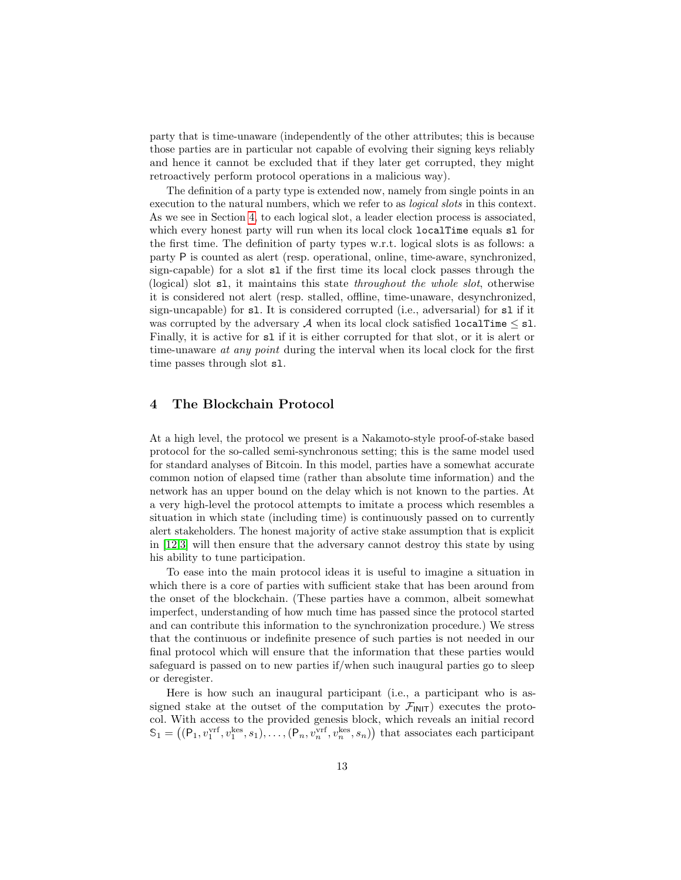party that is time-unaware (independently of the other attributes; this is because those parties are in particular not capable of evolving their signing keys reliably and hence it cannot be excluded that if they later get corrupted, they might retroactively perform protocol operations in a malicious way).

The definition of a party type is extended now, namely from single points in an execution to the natural numbers, which we refer to as logical slots in this context. As we see in Section [4,](#page-13-0) to each logical slot, a leader election process is associated, which every honest party will run when its local clock localTime equals sl for the first time. The definition of party types w.r.t. logical slots is as follows: a party P is counted as alert (resp. operational, online, time-aware, synchronized, sign-capable) for a slot sl if the first time its local clock passes through the (logical) slot sl, it maintains this state *throughout the whole slot*, otherwise it is considered not alert (resp. stalled, offline, time-unaware, desynchronized, sign-uncapable) for sl. It is considered corrupted (i.e., adversarial) for sl if it was corrupted by the adversary  $A$  when its local clock satisfied localTime  $\leq$  sl. Finally, it is active for sl if it is either corrupted for that slot, or it is alert or time-unaware at any point during the interval when its local clock for the first time passes through slot sl.

#### <span id="page-13-0"></span>4 The Blockchain Protocol

At a high level, the protocol we present is a Nakamoto-style proof-of-stake based protocol for the so-called semi-synchronous setting; this is the same model used for standard analyses of Bitcoin. In this model, parties have a somewhat accurate common notion of elapsed time (rather than absolute time information) and the network has an upper bound on the delay which is not known to the parties. At a very high-level the protocol attempts to imitate a process which resembles a situation in which state (including time) is continuously passed on to currently alert stakeholders. The honest majority of active stake assumption that is explicit in [\[12](#page-29-12)[,3\]](#page-28-2) will then ensure that the adversary cannot destroy this state by using his ability to tune participation.

To ease into the main protocol ideas it is useful to imagine a situation in which there is a core of parties with sufficient stake that has been around from the onset of the blockchain. (These parties have a common, albeit somewhat imperfect, understanding of how much time has passed since the protocol started and can contribute this information to the synchronization procedure.) We stress that the continuous or indefinite presence of such parties is not needed in our final protocol which will ensure that the information that these parties would safeguard is passed on to new parties if/when such inaugural parties go to sleep or deregister.

Here is how such an inaugural participant (i.e., a participant who is assigned stake at the outset of the computation by  $\mathcal{F}_{\text{INIT}}$ ) executes the protocol. With access to the provided genesis block, which reveals an initial record  $\mathbb{S}_1 = ((P_1, v_1^{\text{vrf}}, v_1^{\text{kes}}, s_1), \dots, (P_n, v_n^{\text{vrf}}, v_n^{\text{kes}}, s_n))$  that associates each participant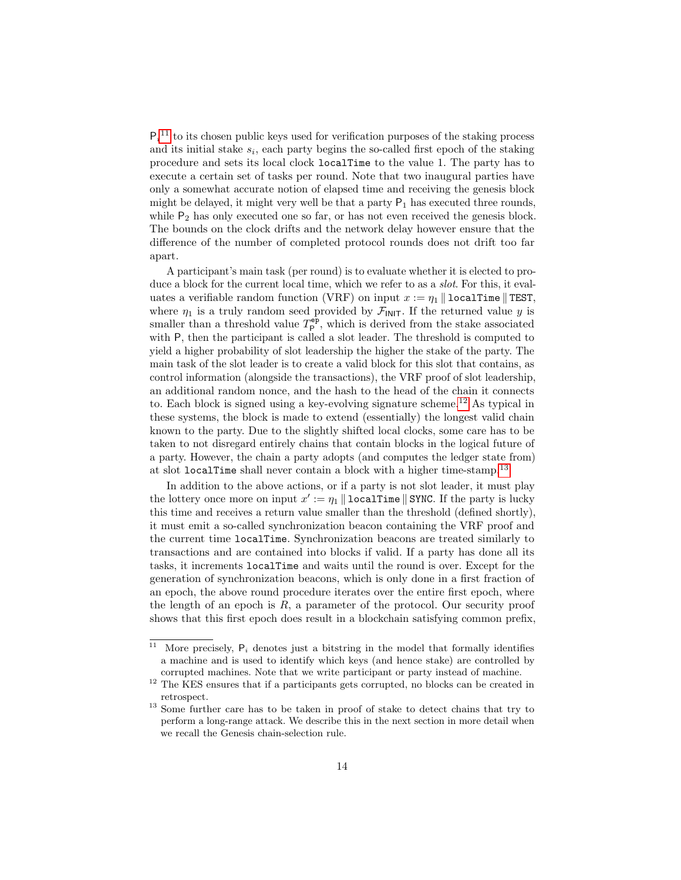$P_i$ <sup>[11](#page-14-0)</sup> to its chosen public keys used for verification purposes of the staking process and its initial stake  $s_i$ , each party begins the so-called first epoch of the staking procedure and sets its local clock localTime to the value 1. The party has to execute a certain set of tasks per round. Note that two inaugural parties have only a somewhat accurate notion of elapsed time and receiving the genesis block might be delayed, it might very well be that a party  $P_1$  has executed three rounds, while  $P_2$  has only executed one so far, or has not even received the genesis block. The bounds on the clock drifts and the network delay however ensure that the difference of the number of completed protocol rounds does not drift too far apart.

A participant's main task (per round) is to evaluate whether it is elected to produce a block for the current local time, which we refer to as a *slot*. For this, it evaluates a verifiable random function (VRF) on input  $x := \eta_1 \parallel \texttt{localTime} \parallel \texttt{TEST}$ , where  $\eta_1$  is a truly random seed provided by  $\mathcal{F}_{\text{INIT}}$ . If the returned value y is smaller than a threshold value  $T_P^{\text{ep}}$ , which is derived from the stake associated with P, then the participant is called a slot leader. The threshold is computed to yield a higher probability of slot leadership the higher the stake of the party. The main task of the slot leader is to create a valid block for this slot that contains, as control information (alongside the transactions), the VRF proof of slot leadership, an additional random nonce, and the hash to the head of the chain it connects to. Each block is signed using a key-evolving signature scheme.[12](#page-14-1) As typical in these systems, the block is made to extend (essentially) the longest valid chain known to the party. Due to the slightly shifted local clocks, some care has to be taken to not disregard entirely chains that contain blocks in the logical future of a party. However, the chain a party adopts (and computes the ledger state from) at slot localTime shall never contain a block with a higher time-stamp.[13](#page-14-2)

In addition to the above actions, or if a party is not slot leader, it must play the lottery once more on input  $x' := \eta_1 \mathbin{\parallel} \texttt{localTime} \mathbin{\parallel} \texttt{SYNC}$ . If the party is lucky this time and receives a return value smaller than the threshold (defined shortly), it must emit a so-called synchronization beacon containing the VRF proof and the current time localTime. Synchronization beacons are treated similarly to transactions and are contained into blocks if valid. If a party has done all its tasks, it increments localTime and waits until the round is over. Except for the generation of synchronization beacons, which is only done in a first fraction of an epoch, the above round procedure iterates over the entire first epoch, where the length of an epoch is  $R$ , a parameter of the protocol. Our security proof shows that this first epoch does result in a blockchain satisfying common prefix,

<span id="page-14-0"></span><sup>&</sup>lt;sup>11</sup> More precisely,  $P_i$  denotes just a bitstring in the model that formally identifies a machine and is used to identify which keys (and hence stake) are controlled by corrupted machines. Note that we write participant or party instead of machine.

<span id="page-14-1"></span> $12$  The KES ensures that if a participants gets corrupted, no blocks can be created in retrospect.

<span id="page-14-2"></span><sup>&</sup>lt;sup>13</sup> Some further care has to be taken in proof of stake to detect chains that try to perform a long-range attack. We describe this in the next section in more detail when we recall the Genesis chain-selection rule.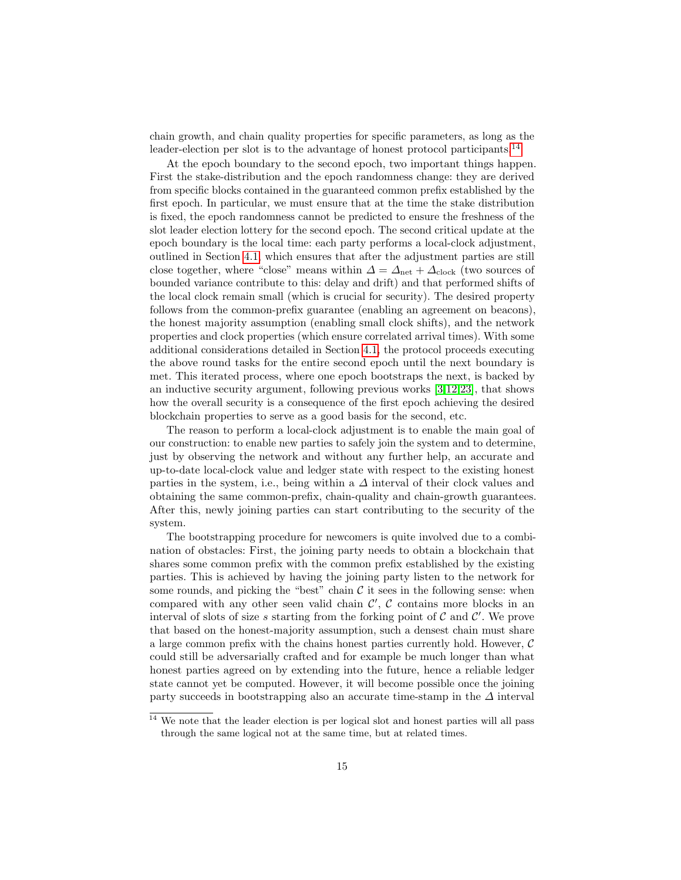chain growth, and chain quality properties for specific parameters, as long as the leader-election per slot is to the advantage of honest protocol participants.[14](#page-15-0)

At the epoch boundary to the second epoch, two important things happen. First the stake-distribution and the epoch randomness change: they are derived from specific blocks contained in the guaranteed common prefix established by the first epoch. In particular, we must ensure that at the time the stake distribution is fixed, the epoch randomness cannot be predicted to ensure the freshness of the slot leader election lottery for the second epoch. The second critical update at the epoch boundary is the local time: each party performs a local-clock adjustment, outlined in Section [4.1,](#page-18-0) which ensures that after the adjustment parties are still close together, where "close" means within  $\Delta = \Delta_{\rm net} + \Delta_{\rm clock}$  (two sources of bounded variance contribute to this: delay and drift) and that performed shifts of the local clock remain small (which is crucial for security). The desired property follows from the common-prefix guarantee (enabling an agreement on beacons), the honest majority assumption (enabling small clock shifts), and the network properties and clock properties (which ensure correlated arrival times). With some additional considerations detailed in Section [4.1,](#page-18-0) the protocol proceeds executing the above round tasks for the entire second epoch until the next boundary is met. This iterated process, where one epoch bootstraps the next, is backed by an inductive security argument, following previous works [\[3](#page-28-2)[,12](#page-29-12)[,23\]](#page-30-7), that shows how the overall security is a consequence of the first epoch achieving the desired blockchain properties to serve as a good basis for the second, etc.

The reason to perform a local-clock adjustment is to enable the main goal of our construction: to enable new parties to safely join the system and to determine, just by observing the network and without any further help, an accurate and up-to-date local-clock value and ledger state with respect to the existing honest parties in the system, i.e., being within a  $\Delta$  interval of their clock values and obtaining the same common-prefix, chain-quality and chain-growth guarantees. After this, newly joining parties can start contributing to the security of the system.

The bootstrapping procedure for newcomers is quite involved due to a combination of obstacles: First, the joining party needs to obtain a blockchain that shares some common prefix with the common prefix established by the existing parties. This is achieved by having the joining party listen to the network for some rounds, and picking the "best" chain  $C$  it sees in the following sense: when compared with any other seen valid chain  $\mathcal{C}'$ ,  $\mathcal{C}$  contains more blocks in an interval of slots of size  $s$  starting from the forking point of  $\mathcal C$  and  $\mathcal C'$ . We prove that based on the honest-majority assumption, such a densest chain must share a large common prefix with the chains honest parties currently hold. However, C could still be adversarially crafted and for example be much longer than what honest parties agreed on by extending into the future, hence a reliable ledger state cannot yet be computed. However, it will become possible once the joining party succeeds in bootstrapping also an accurate time-stamp in the  $\Delta$  interval

<span id="page-15-0"></span> $14$  We note that the leader election is per logical slot and honest parties will all pass through the same logical not at the same time, but at related times.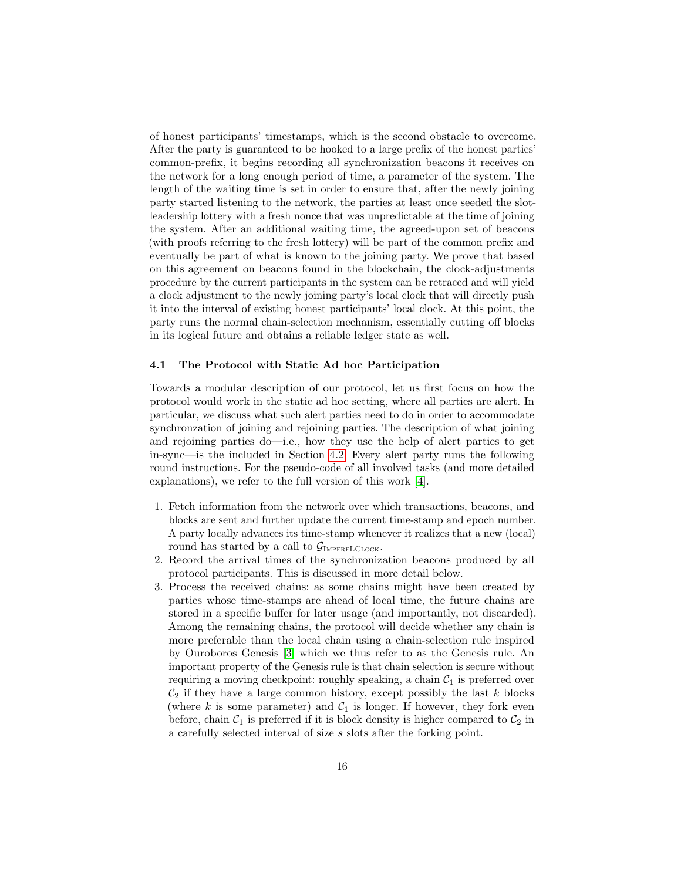of honest participants' timestamps, which is the second obstacle to overcome. After the party is guaranteed to be hooked to a large prefix of the honest parties' common-prefix, it begins recording all synchronization beacons it receives on the network for a long enough period of time, a parameter of the system. The length of the waiting time is set in order to ensure that, after the newly joining party started listening to the network, the parties at least once seeded the slotleadership lottery with a fresh nonce that was unpredictable at the time of joining the system. After an additional waiting time, the agreed-upon set of beacons (with proofs referring to the fresh lottery) will be part of the common prefix and eventually be part of what is known to the joining party. We prove that based on this agreement on beacons found in the blockchain, the clock-adjustments procedure by the current participants in the system can be retraced and will yield a clock adjustment to the newly joining party's local clock that will directly push it into the interval of existing honest participants' local clock. At this point, the party runs the normal chain-selection mechanism, essentially cutting off blocks in its logical future and obtains a reliable ledger state as well.

#### 4.1 The Protocol with Static Ad hoc Participation

Towards a modular description of our protocol, let us first focus on how the protocol would work in the static ad hoc setting, where all parties are alert. In particular, we discuss what such alert parties need to do in order to accommodate synchronzation of joining and rejoining parties. The description of what joining and rejoining parties do—i.e., how they use the help of alert parties to get in-sync—is the included in Section [4.2.](#page-21-0) Every alert party runs the following round instructions. For the pseudo-code of all involved tasks (and more detailed explanations), we refer to the full version of this work [\[4\]](#page-28-1).

- 1. Fetch information from the network over which transactions, beacons, and blocks are sent and further update the current time-stamp and epoch number. A party locally advances its time-stamp whenever it realizes that a new (local) round has started by a call to  $\mathcal{G}_{\text{IMPERFLCLOCK}}$ .
- 2. Record the arrival times of the synchronization beacons produced by all protocol participants. This is discussed in more detail below.
- 3. Process the received chains: as some chains might have been created by parties whose time-stamps are ahead of local time, the future chains are stored in a specific buffer for later usage (and importantly, not discarded). Among the remaining chains, the protocol will decide whether any chain is more preferable than the local chain using a chain-selection rule inspired by Ouroboros Genesis [\[3\]](#page-28-2) which we thus refer to as the Genesis rule. An important property of the Genesis rule is that chain selection is secure without requiring a moving checkpoint: roughly speaking, a chain  $C_1$  is preferred over  $C_2$  if they have a large common history, except possibly the last k blocks (where k is some parameter) and  $C_1$  is longer. If however, they fork even before, chain  $C_1$  is preferred if it is block density is higher compared to  $C_2$  in a carefully selected interval of size s slots after the forking point.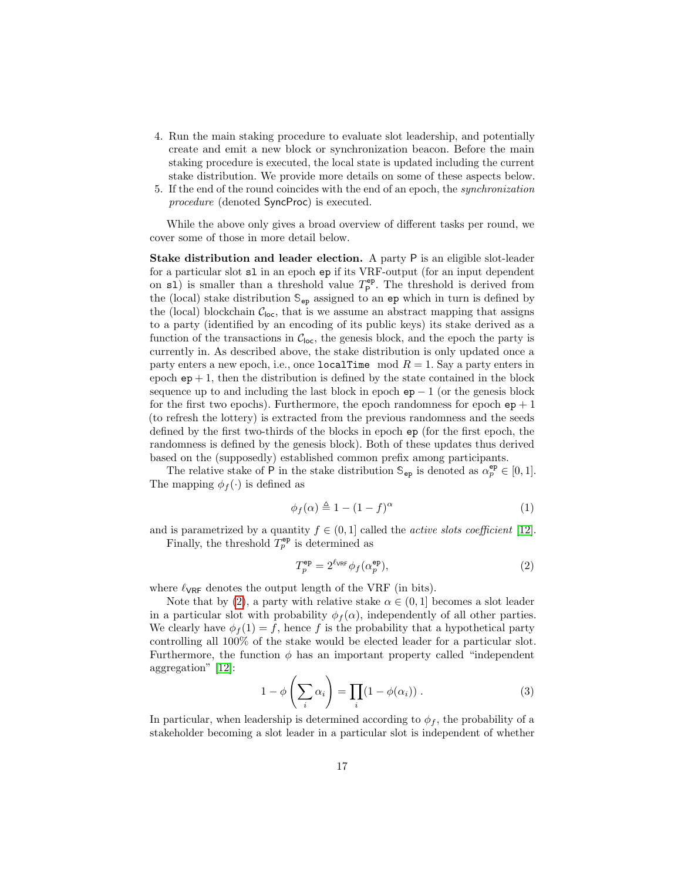- 4. Run the main staking procedure to evaluate slot leadership, and potentially create and emit a new block or synchronization beacon. Before the main staking procedure is executed, the local state is updated including the current stake distribution. We provide more details on some of these aspects below.
- 5. If the end of the round coincides with the end of an epoch, the synchronization procedure (denoted SyncProc) is executed.

While the above only gives a broad overview of different tasks per round, we cover some of those in more detail below.

Stake distribution and leader election. A party P is an eligible slot-leader for a particular slot sl in an epoch ep if its VRF-output (for an input dependent on  $s1$ ) is smaller than a threshold value  $T_P^{\text{ep}}$ . The threshold is derived from the (local) stake distribution  $\mathbb{S}_{ep}$  assigned to an ep which in turn is defined by the (local) blockchain  $C_{\text{loc}}$ , that is we assume an abstract mapping that assigns to a party (identified by an encoding of its public keys) its stake derived as a function of the transactions in  $C_{\text{loc}}$ , the genesis block, and the epoch the party is currently in. As described above, the stake distribution is only updated once a party enters a new epoch, i.e., once localTime mod  $R = 1$ . Say a party enters in epoch  $ep + 1$ , then the distribution is defined by the state contained in the block sequence up to and including the last block in epoch  $ep - 1$  (or the genesis block for the first two epochs). Furthermore, the epoch randomness for epoch  $ep + 1$ (to refresh the lottery) is extracted from the previous randomness and the seeds defined by the first two-thirds of the blocks in epoch ep (for the first epoch, the randomness is defined by the genesis block). Both of these updates thus derived based on the (supposedly) established common prefix among participants.

The relative stake of P in the stake distribution  $\mathbb{S}_{ep}$  is denoted as  $\alpha_p^{ep} \in [0,1]$ . The mapping  $\phi_f(\cdot)$  is defined as

$$
\phi_f(\alpha) \triangleq 1 - (1 - f)^{\alpha} \tag{1}
$$

and is parametrized by a quantity  $f \in (0, 1]$  called the *active slots coefficient* [\[12\]](#page-29-12). Finally, the threshold  $T_p^{\text{ep}}$  is determined as

<span id="page-17-0"></span>
$$
T_p^{\text{ep}} = 2^{\ell_{\text{VRF}}} \phi_f(\alpha_p^{\text{ep}}),\tag{2}
$$

where  $\ell_{VRF}$  denotes the output length of the VRF (in bits).

Note that by [\(2\)](#page-17-0), a party with relative stake  $\alpha \in (0,1]$  becomes a slot leader in a particular slot with probability  $\phi_f(\alpha)$ , independently of all other parties. We clearly have  $\phi_f(1) = f$ , hence f is the probability that a hypothetical party controlling all 100% of the stake would be elected leader for a particular slot. Furthermore, the function  $\phi$  has an important property called "independent" aggregation" [\[12\]](#page-29-12):

$$
1 - \phi\left(\sum_{i} \alpha_i\right) = \prod_{i} (1 - \phi(\alpha_i)) . \tag{3}
$$

In particular, when leadership is determined according to  $\phi_f$ , the probability of a stakeholder becoming a slot leader in a particular slot is independent of whether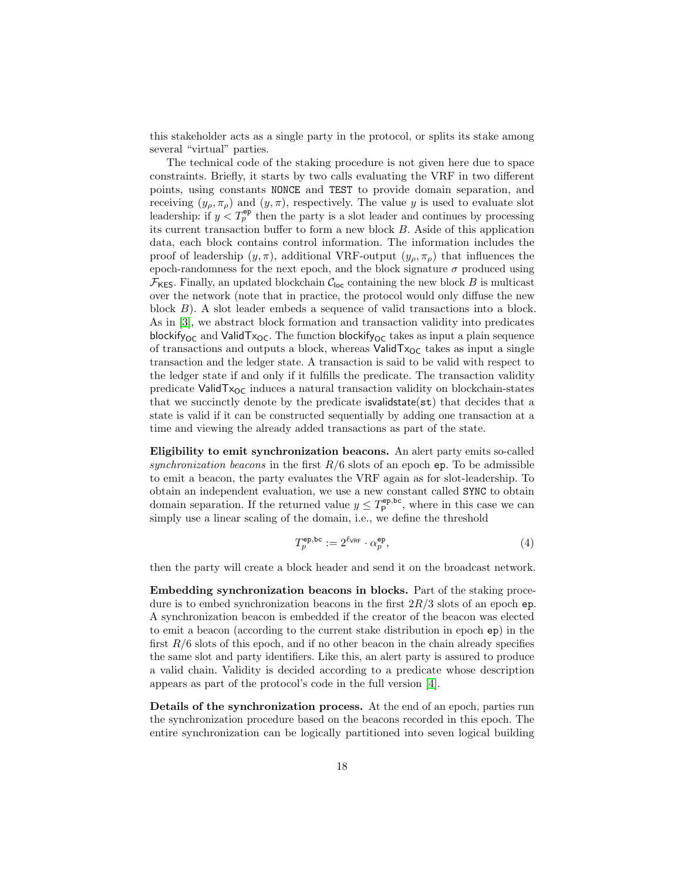this stakeholder acts as a single party in the protocol, or splits its stake among several "virtual" parties.

The technical code of the staking procedure is not given here due to space constraints. Briefly, it starts by two calls evaluating the VRF in two different points, using constants NONCE and TEST to provide domain separation, and receiving  $(y_\rho, \pi_\rho)$  and  $(y, \pi)$ , respectively. The value y is used to evaluate slot leadership: if  $y < T_p^{\text{ep}}$  then the party is a slot leader and continues by processing its current transaction buffer to form a new block B. Aside of this application data, each block contains control information. The information includes the proof of leadership  $(y, \pi)$ , additional VRF-output  $(y_{\rho}, \pi_{\rho})$  that influences the epoch-randomness for the next epoch, and the block signature  $\sigma$  produced using  $\mathcal{F}_{\mathsf{KES}}$ . Finally, an updated blockchain  $\mathcal{C}_{\mathsf{loc}}$  containing the new block B is multicast over the network (note that in practice, the protocol would only diffuse the new block B). A slot leader embeds a sequence of valid transactions into a block. As in [\[3\]](#page-28-2), we abstract block formation and transaction validity into predicates blockify<sub>OC</sub> and ValidTx<sub>OC</sub>. The function blockify<sub>OC</sub> takes as input a plain sequence of transactions and outputs a block, whereas  $ValidTx_{OC}$  takes as input a single transaction and the ledger state. A transaction is said to be valid with respect to the ledger state if and only if it fulfills the predicate. The transaction validity predicate ValidT $x_{\text{OC}}$  induces a natural transaction validity on blockchain-states that we succinctly denote by the predicate isvalid state $(\mathsf{st})$  that decides that a state is valid if it can be constructed sequentially by adding one transaction at a time and viewing the already added transactions as part of the state.

Eligibility to emit synchronization beacons. An alert party emits so-called synchronization beacons in the first  $R/6$  slots of an epoch ep. To be admissible to emit a beacon, the party evaluates the VRF again as for slot-leadership. To obtain an independent evaluation, we use a new constant called SYNC to obtain domain separation. If the returned value  $y \leq T_{\mathsf{P}}^{\mathsf{ep},\mathtt{bc}}$ , where in this case we can simply use a linear scaling of the domain, i.e., we define the threshold

<span id="page-18-1"></span>
$$
T_p^{\text{ep,bc}} := 2^{\ell_{\text{VRF}}} \cdot \alpha_p^{\text{ep}},\tag{4}
$$

then the party will create a block header and send it on the broadcast network.

Embedding synchronization beacons in blocks. Part of the staking procedure is to embed synchronization beacons in the first  $2R/3$  slots of an epoch ep. A synchronization beacon is embedded if the creator of the beacon was elected to emit a beacon (according to the current stake distribution in epoch ep) in the first  $R/6$  slots of this epoch, and if no other beacon in the chain already specifies the same slot and party identifiers. Like this, an alert party is assured to produce a valid chain. Validity is decided according to a predicate whose description appears as part of the protocol's code in the full version [\[4\]](#page-28-1).

<span id="page-18-0"></span>Details of the synchronization process. At the end of an epoch, parties run the synchronization procedure based on the beacons recorded in this epoch. The entire synchronization can be logically partitioned into seven logical building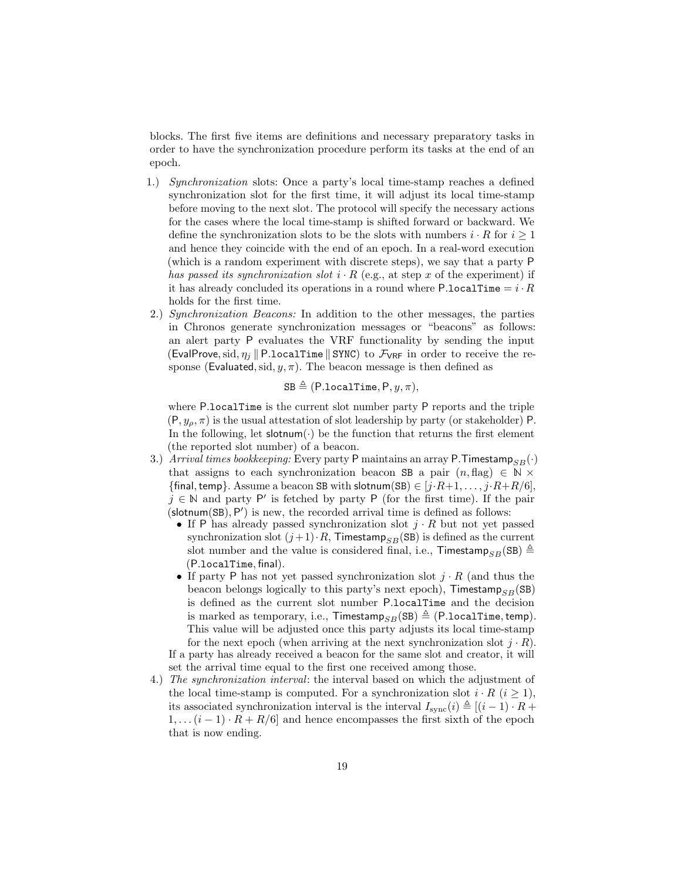blocks. The first five items are definitions and necessary preparatory tasks in order to have the synchronization procedure perform its tasks at the end of an epoch.

- 1.) Synchronization slots: Once a party's local time-stamp reaches a defined synchronization slot for the first time, it will adjust its local time-stamp before moving to the next slot. The protocol will specify the necessary actions for the cases where the local time-stamp is shifted forward or backward. We define the synchronization slots to be the slots with numbers  $i \cdot R$  for  $i \geq 1$ and hence they coincide with the end of an epoch. In a real-word execution (which is a random experiment with discrete steps), we say that a party P has passed its synchronization slot  $i \cdot R$  (e.g., at step x of the experiment) if it has already concluded its operations in a round where P.localTime  $= i \cdot R$ holds for the first time.
- 2.) Synchronization Beacons: In addition to the other messages, the parties in Chronos generate synchronization messages or "beacons" as follows: an alert party P evaluates the VRF functionality by sending the input (EvalProve, sid,  $\eta_j$  || P.localTime || SYNC) to  $\mathcal{F}_{\text{VRF}}$  in order to receive the response (Evaluated, sid,  $y, \pi$ ). The beacon message is then defined as

$$
\mathtt{SB} \triangleq (\mathtt{P.loadTime}, \mathtt{P}, y, \pi),
$$

where P.localTime is the current slot number party P reports and the triple  $(P, y<sub>\rho</sub>, \pi)$  is the usual attestation of slot leadership by party (or stakeholder) P. In the following, let  $\mathsf{slotnum}(\cdot)$  be the function that returns the first element (the reported slot number) of a beacon.

- 3.) Arrival times bookkeeping: Every party P maintains an array P. Timestamp $_{SB}(\cdot)$ that assigns to each synchronization beacon SB a pair  $(n, flag) \in \mathbb{N} \times$ {final, temp}. Assume a beacon SB with slotnum(SB)  $\in$  [j·R+1, ..., j·R+R/6].  $j \in \mathbb{N}$  and party P' is fetched by party P (for the first time). If the pair  $(\text{slotnum}(SB), P')$  is new, the recorded arrival time is defined as follows:
	- If P has already passed synchronization slot  $j \cdot R$  but not yet passed synchronization slot  $(j+1)\cdot R$ , Timestamp<sub>SB</sub>(SB) is defined as the current slot number and the value is considered final, i.e.,  $\mathsf{Timestemp}_{SB}(\mathsf{SB}) \triangleq$ (P.localTime, final).
	- If party P has not yet passed synchronization slot  $j \cdot R$  (and thus the beacon belongs logically to this party's next epoch),  $\mathsf{Times}(\mathsf{SB})$ is defined as the current slot number P.localTime and the decision is marked as temporary, i.e., Timestamp<sub>SB</sub>(SB)  $\triangleq$  (P.localTime, temp). This value will be adjusted once this party adjusts its local time-stamp for the next epoch (when arriving at the next synchronization slot  $j \cdot R$ ). If a party has already received a beacon for the same slot and creator, it will

set the arrival time equal to the first one received among those.

4.) The synchronization interval: the interval based on which the adjustment of the local time-stamp is computed. For a synchronization slot  $i \cdot R$   $(i \geq 1)$ , its associated synchronization interval is the interval  $I_{\text{sync}}(i) \triangleq [(i - 1) \cdot R +$  $1, \ldots (i-1) \cdot R + R/6$  and hence encompasses the first sixth of the epoch that is now ending.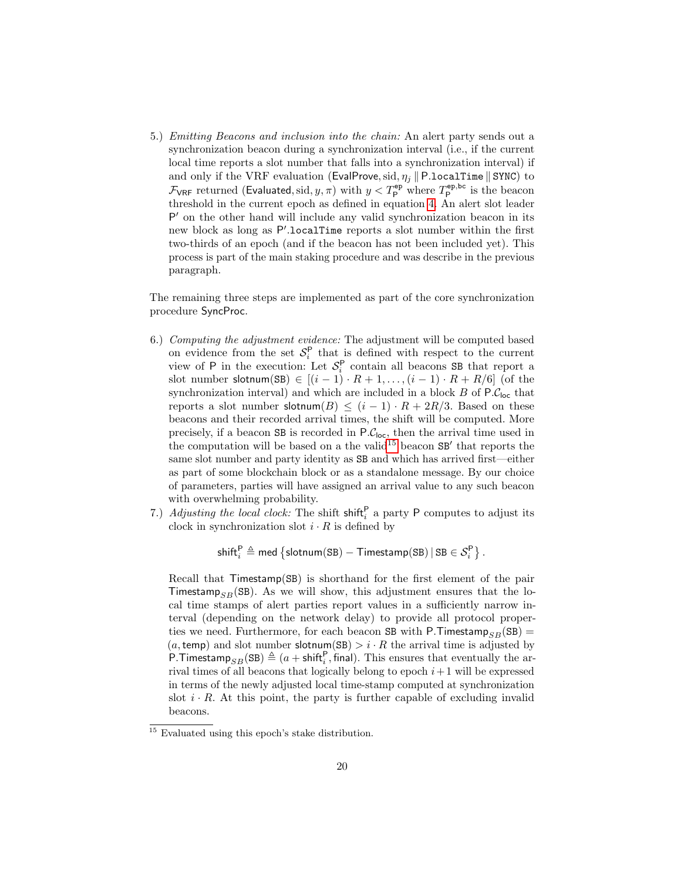5.) Emitting Beacons and inclusion into the chain: An alert party sends out a synchronization beacon during a synchronization interval (i.e., if the current local time reports a slot number that falls into a synchronization interval) if and only if the VRF evaluation (EvalProve,  $\text{sid}, \eta_j \parallel \text{P.oca1Time} \parallel \text{SYNC}$ ) to  $\mathcal{F}_{\mathsf{VRF}}$  returned (Evaluated, sid,  $y, \pi)$  with  $y < T^{\mathsf{ep}}_{\mathsf{P}}$  where  $T^{\mathsf{ep, bc}}_{\mathsf{P}}$  is the beacon threshold in the current epoch as defined in equation [4.](#page-18-1) An alert slot leader P' on the other hand will include any valid synchronization beacon in its new block as long as P'.localTime reports a slot number within the first two-thirds of an epoch (and if the beacon has not been included yet). This process is part of the main staking procedure and was describe in the previous paragraph.

The remaining three steps are implemented as part of the core synchronization procedure SyncProc.

- 6.) Computing the adjustment evidence: The adjustment will be computed based on evidence from the set  $S_i^{\mathsf{P}}$  that is defined with respect to the current view of P in the execution: Let  $S_i^{\mathsf{P}}$  contain all beacons SB that report a slot number slotnum(SB)  $\in$   $[(i-1) \cdot R+1, \ldots, (i-1) \cdot R+R/6]$  (of the synchronization interval) and which are included in a block  $B$  of  $P.C<sub>loc</sub>$  that reports a slot number  $\text{slotnum}(B) \leq (i-1) \cdot R + 2R/3$ . Based on these beacons and their recorded arrival times, the shift will be computed. More precisely, if a beacon SB is recorded in  $P.C<sub>loc</sub>$ , then the arrival time used in the computation will be based on a the valid<sup>[15](#page-20-0)</sup> beacon  $SB'$  that reports the same slot number and party identity as  $SB$  and which has arrived first—either as part of some blockchain block or as a standalone message. By our choice of parameters, parties will have assigned an arrival value to any such beacon with overwhelming probability.
- 7.) Adjusting the local clock: The shift shift<sup>p</sup> a party P computes to adjust its clock in synchronization slot  $i \cdot R$  is defined by

 $\textsf{shift}^\mathsf{P}_i \triangleq \textsf{med} \left\{ \textsf{slotnum}(\mathtt{SB})-\textsf{Timestamp}(\mathtt{SB}) \,|\, \mathtt{SB} \in \mathcal{S}_i^\mathsf{P} \right\}.$ 

Recall that Timestamp(SB) is shorthand for the first element of the pair Timestamp<sub>SB</sub>(SB). As we will show, this adjustment ensures that the local time stamps of alert parties report values in a sufficiently narrow interval (depending on the network delay) to provide all protocol properties we need. Furthermore, for each beacon SB with P.Timestamp<sub>SB</sub>(SB) =  $(a, temp)$  and slot number slotnum(SB)  $> i \cdot R$  the arrival time is adjusted by P. Timestam $p_{SB}(SB) \triangleq (a + \text{shift}_i^P, \text{final})$ . This ensures that eventually the arrival times of all beacons that logically belong to epoch  $i+1$  will be expressed in terms of the newly adjusted local time-stamp computed at synchronization slot  $i \cdot R$ . At this point, the party is further capable of excluding invalid beacons.

<span id="page-20-0"></span><sup>&</sup>lt;sup>15</sup> Evaluated using this epoch's stake distribution.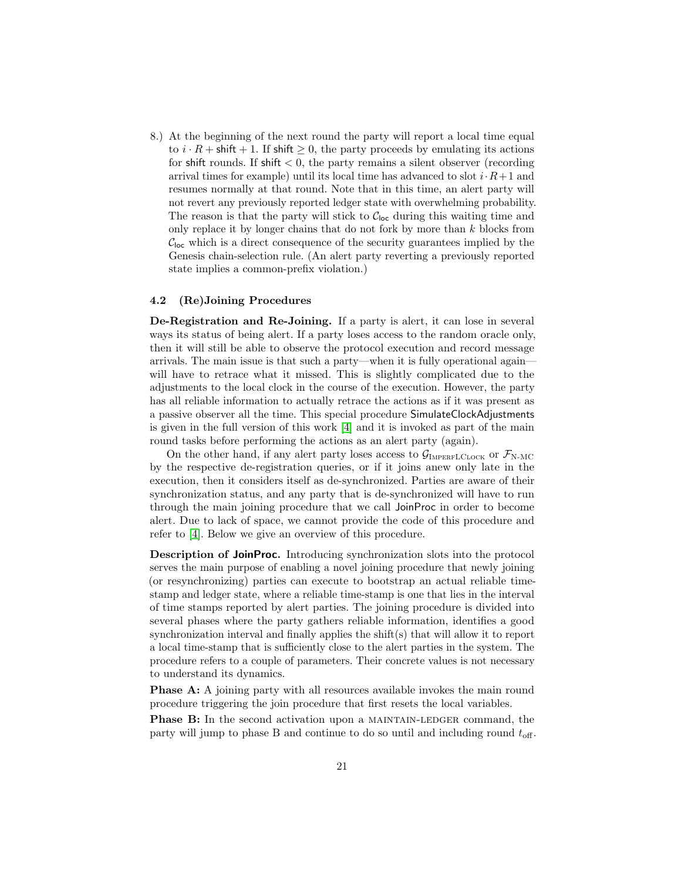8.) At the beginning of the next round the party will report a local time equal to  $i \cdot R$  + shift + 1. If shift  $\geq 0$ , the party proceeds by emulating its actions for shift rounds. If shift  $< 0$ , the party remains a silent observer (recording arrival times for example) until its local time has advanced to slot  $i\cdot R+1$  and resumes normally at that round. Note that in this time, an alert party will not revert any previously reported ledger state with overwhelming probability. The reason is that the party will stick to  $C_{\text{loc}}$  during this waiting time and only replace it by longer chains that do not fork by more than  $k$  blocks from  $\mathcal{C}_{\text{loc}}$  which is a direct consequence of the security guarantees implied by the Genesis chain-selection rule. (An alert party reverting a previously reported state implies a common-prefix violation.)

#### <span id="page-21-0"></span>4.2 (Re)Joining Procedures

De-Registration and Re-Joining. If a party is alert, it can lose in several ways its status of being alert. If a party loses access to the random oracle only, then it will still be able to observe the protocol execution and record message arrivals. The main issue is that such a party—when it is fully operational again will have to retrace what it missed. This is slightly complicated due to the adjustments to the local clock in the course of the execution. However, the party has all reliable information to actually retrace the actions as if it was present as a passive observer all the time. This special procedure SimulateClockAdjustments is given in the full version of this work [\[4\]](#page-28-1) and it is invoked as part of the main round tasks before performing the actions as an alert party (again).

On the other hand, if any alert party loses access to  $\mathcal{G}_{\text{IMPERFLCLOCK}}$  or  $\mathcal{F}_{\text{N-MC}}$ by the respective de-registration queries, or if it joins anew only late in the execution, then it considers itself as de-synchronized. Parties are aware of their synchronization status, and any party that is de-synchronized will have to run through the main joining procedure that we call JoinProc in order to become alert. Due to lack of space, we cannot provide the code of this procedure and refer to [\[4\]](#page-28-1). Below we give an overview of this procedure.

Description of JoinProc. Introducing synchronization slots into the protocol serves the main purpose of enabling a novel joining procedure that newly joining (or resynchronizing) parties can execute to bootstrap an actual reliable timestamp and ledger state, where a reliable time-stamp is one that lies in the interval of time stamps reported by alert parties. The joining procedure is divided into several phases where the party gathers reliable information, identifies a good synchronization interval and finally applies the shift(s) that will allow it to report a local time-stamp that is sufficiently close to the alert parties in the system. The procedure refers to a couple of parameters. Their concrete values is not necessary to understand its dynamics.

**Phase A:** A joining party with all resources available invokes the main round procedure triggering the join procedure that first resets the local variables.

Phase B: In the second activation upon a MAINTAIN-LEDGER command, the party will jump to phase B and continue to do so until and including round  $t_{\text{off}}$ .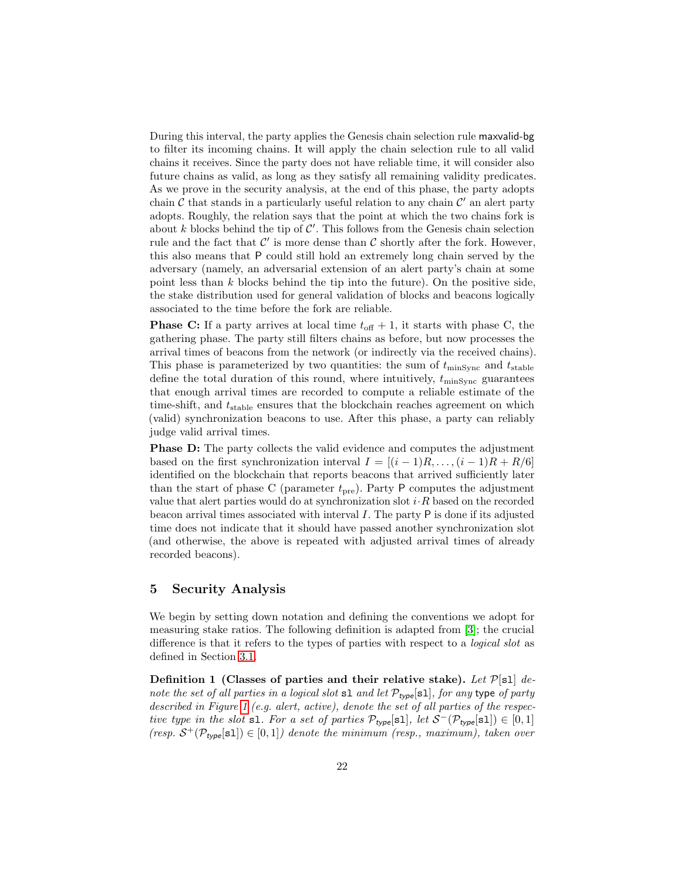During this interval, the party applies the Genesis chain selection rule maxvalid-bg to filter its incoming chains. It will apply the chain selection rule to all valid chains it receives. Since the party does not have reliable time, it will consider also future chains as valid, as long as they satisfy all remaining validity predicates. As we prove in the security analysis, at the end of this phase, the party adopts chain  $\mathcal C$  that stands in a particularly useful relation to any chain  $\mathcal C'$  an alert party adopts. Roughly, the relation says that the point at which the two chains fork is about  $k$  blocks behind the tip of  $\mathcal{C}'$ . This follows from the Genesis chain selection rule and the fact that  $\mathcal{C}'$  is more dense than  $\mathcal C$  shortly after the fork. However, this also means that P could still hold an extremely long chain served by the adversary (namely, an adversarial extension of an alert party's chain at some point less than  $k$  blocks behind the tip into the future). On the positive side, the stake distribution used for general validation of blocks and beacons logically associated to the time before the fork are reliable.

**Phase C:** If a party arrives at local time  $t_{\text{off}} + 1$ , it starts with phase C, the gathering phase. The party still filters chains as before, but now processes the arrival times of beacons from the network (or indirectly via the received chains). This phase is parameterized by two quantities: the sum of  $t_{\text{minSync}}$  and  $t_{\text{stable}}$ define the total duration of this round, where intuitively,  $t_{\text{minSync}}$  guarantees that enough arrival times are recorded to compute a reliable estimate of the time-shift, and  $t_{stable}$  ensures that the blockchain reaches agreement on which (valid) synchronization beacons to use. After this phase, a party can reliably judge valid arrival times.

**Phase D:** The party collects the valid evidence and computes the adjustment based on the first synchronization interval  $I = [(i-1)R, \ldots, (i-1)R + R/6]$ identified on the blockchain that reports beacons that arrived sufficiently later than the start of phase C (parameter  $t_{pre}$ ). Party P computes the adjustment value that alert parties would do at synchronization slot  $i\cdot R$  based on the recorded beacon arrival times associated with interval  $I$ . The party  $P$  is done if its adjusted time does not indicate that it should have passed another synchronization slot (and otherwise, the above is repeated with adjusted arrival times of already recorded beacons).

#### <span id="page-22-0"></span>5 Security Analysis

We begin by setting down notation and defining the conventions we adopt for measuring stake ratios. The following definition is adapted from [\[3\]](#page-28-2); the crucial difference is that it refers to the types of parties with respect to a *logical slot* as defined in Section [3.1.](#page-11-1)

Definition 1 (Classes of parties and their relative stake). Let  $\mathcal{P}[\text{s1}]$  denote the set of all parties in a logical slot  $s1$  and let  $\mathcal{P}_{type}[s1]$ , for any type of party described in Figure [1](#page-12-0) (e.g. alert, active), denote the set of all parties of the respective type in the slot sl. For a set of parties  $\mathcal{P}_{type}[s1]$ , let  $\mathcal{S}^{-}(\mathcal{P}_{type}[s1]) \in [0,1]$  $(resp. S^{+}(P_{type}[s1]) \in [0,1])$  denote the minimum (resp., maximum), taken over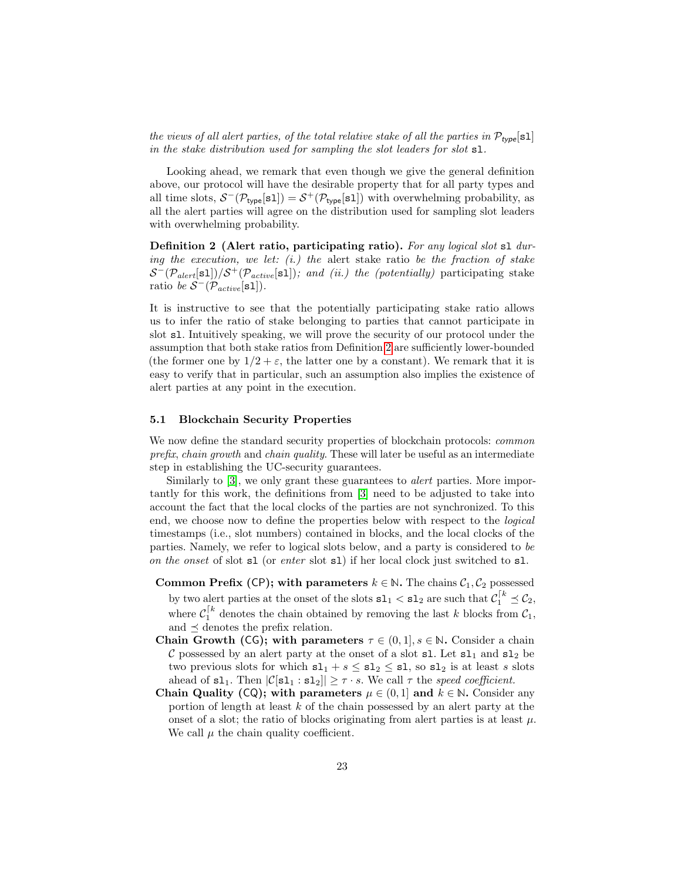the views of all alert parties, of the total relative stake of all the parties in  $\mathcal{P}_{\text{type}}[\texttt{sl}]$ in the stake distribution used for sampling the slot leaders for slot  $s1$ .

Looking ahead, we remark that even though we give the general definition above, our protocol will have the desirable property that for all party types and all time slots,  $S^-(\mathcal{P}_{\text{type}}[\mathbf{s}1]) = S^+(\mathcal{P}_{\text{type}}[\mathbf{s}1])$  with overwhelming probability, as all the alert parties will agree on the distribution used for sampling slot leaders with overwhelming probability.

<span id="page-23-0"></span>Definition 2 (Alert ratio, participating ratio). For any logical slot sl during the execution, we let:  $(i.)$  the alert stake ratio be the fraction of stake  $S^-(\mathcal{P}_{\textit{alert}}[\mathbf{s}1])/\mathcal{S}^+(\mathcal{P}_{\textit{active}}[\mathbf{s}1])$ ; and (ii.) the (potentially) participating stake ratio be  $S^{-}(\mathcal{P}_{active}[\texttt{sl}]).$ 

It is instructive to see that the potentially participating stake ratio allows us to infer the ratio of stake belonging to parties that cannot participate in slot sl. Intuitively speaking, we will prove the security of our protocol under the assumption that both stake ratios from Definition [2](#page-23-0) are sufficiently lower-bounded (the former one by  $1/2 + \varepsilon$ , the latter one by a constant). We remark that it is easy to verify that in particular, such an assumption also implies the existence of alert parties at any point in the execution.

#### 5.1 Blockchain Security Properties

We now define the standard security properties of blockchain protocols: *common* prefix, chain growth and chain quality. These will later be useful as an intermediate step in establishing the UC-security guarantees.

Similarly to [\[3\]](#page-28-2), we only grant these guarantees to alert parties. More importantly for this work, the definitions from [\[3\]](#page-28-2) need to be adjusted to take into account the fact that the local clocks of the parties are not synchronized. To this end, we choose now to define the properties below with respect to the logical timestamps (i.e., slot numbers) contained in blocks, and the local clocks of the parties. Namely, we refer to logical slots below, and a party is considered to be on the onset of slot s1 (or enter slot s1) if her local clock just switched to s1.

- Common Prefix (CP); with parameters  $k \in \mathbb{N}$ . The chains  $C_1, C_2$  possessed by two alert parties at the onset of the slots  $s1_1 < s1_2$  are such that  $C_1^{k} \preceq C_2$ , where  $C_1^{k}$  denotes the chain obtained by removing the last k blocks from  $C_1$ , and  $\prec$  denotes the prefix relation.
- Chain Growth (CG); with parameters  $\tau \in (0,1], s \in \mathbb{N}$ . Consider a chain C possessed by an alert party at the onset of a slot  $s1$ . Let  $s1_1$  and  $s1_2$  be two previous slots for which  $s1_1 + s \leq s1_2 \leq s1$ , so  $s1_2$  is at least s slots ahead of  $s1_1$ . Then  $|\mathcal{C}[s1_1:s1_2]| \geq \tau \cdot s$ . We call  $\tau$  the speed coefficient.
- Chain Quality (CQ); with parameters  $\mu \in (0,1]$  and  $k \in \mathbb{N}$ . Consider any portion of length at least k of the chain possessed by an alert party at the onset of a slot; the ratio of blocks originating from alert parties is at least  $\mu$ . We call  $\mu$  the chain quality coefficient.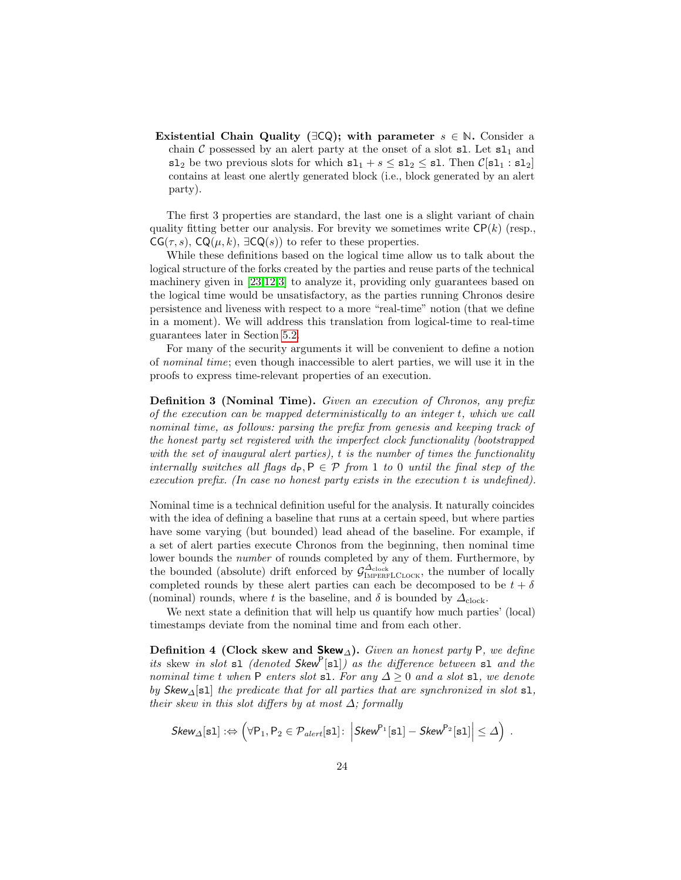Existential Chain Quality ( $\exists CQ$ ); with parameter  $s \in \mathbb{N}$ . Consider a chain  $\mathcal C$  possessed by an alert party at the onset of a slot sl. Let  $s1_1$  and  $s1_2$  be two previous slots for which  $s1_1 + s \leq s1_2 \leq s1$ . Then  $\mathcal{C}[s1_1 : s1_2]$ contains at least one alertly generated block (i.e., block generated by an alert party).

The first 3 properties are standard, the last one is a slight variant of chain quality fitting better our analysis. For brevity we sometimes write  $\mathsf{CP}(k)$  (resp.,  $\mathsf{CG}(\tau, s)$ ,  $\mathsf{CQ}(\mu, k)$ ,  $\exists \mathsf{CQ}(s)$  to refer to these properties.

While these definitions based on the logical time allow us to talk about the logical structure of the forks created by the parties and reuse parts of the technical machinery given in [\[23,](#page-30-7)[12,](#page-29-12)[3\]](#page-28-2) to analyze it, providing only guarantees based on the logical time would be unsatisfactory, as the parties running Chronos desire persistence and liveness with respect to a more "real-time" notion (that we define in a moment). We will address this translation from logical-time to real-time guarantees later in Section [5.2.](#page-26-0)

For many of the security arguments it will be convenient to define a notion of nominal time; even though inaccessible to alert parties, we will use it in the proofs to express time-relevant properties of an execution.

Definition 3 (Nominal Time). Given an execution of Chronos, any prefix of the execution can be mapped deterministically to an integer t, which we call nominal time, as follows: parsing the prefix from genesis and keeping track of the honest party set registered with the imperfect clock functionality (bootstrapped with the set of inaugural alert parties), t is the number of times the functionality internally switches all flags  $d_{\mathsf{P}}, \mathsf{P} \in \mathcal{P}$  from 1 to 0 until the final step of the execution prefix. (In case no honest party exists in the execution t is undefined).

Nominal time is a technical definition useful for the analysis. It naturally coincides with the idea of defining a baseline that runs at a certain speed, but where parties have some varying (but bounded) lead ahead of the baseline. For example, if a set of alert parties execute Chronos from the beginning, then nominal time lower bounds the *number* of rounds completed by any of them. Furthermore, by the bounded (absolute) drift enforced by  $\mathcal{G}^{\Delta_{\text{clock}}}_{\text{IMPERFLCLOCK}}$ , the number of locally completed rounds by these alert parties can each be decomposed to be  $t + \delta$ (nominal) rounds, where t is the baseline, and  $\delta$  is bounded by  $\Delta_{\text{clock}}$ .

We next state a definition that will help us quantify how much parties' (local) timestamps deviate from the nominal time and from each other.

Definition 4 (Clock skew and Skew $_{\Delta}$ ). Given an honest party P, we define its skew in slot  $sl$  (denoted Skew<sup>P</sup>[s1]) as the difference between  $sl$  and the nominal time t when P enters slot sl. For any  $\Delta \geq 0$  and a slot sl, we denote by Skew $\Delta$ [sl] the predicate that for all parties that are synchronized in slot sl, their skew in this slot differs by at most  $\Delta$ ; formally

$$
\mathit{Skew}_{\Delta}[\text{s1}] : \Leftrightarrow \left(\forall P_1, P_2 \in \mathcal{P}_{\textit{alert}}[\text{s1}] : \left|\mathit{Skew}^{P_1}[\text{s1}] - \mathit{Skew}^{P_2}[\text{s1}] \right| \leq \Delta \right)
$$

.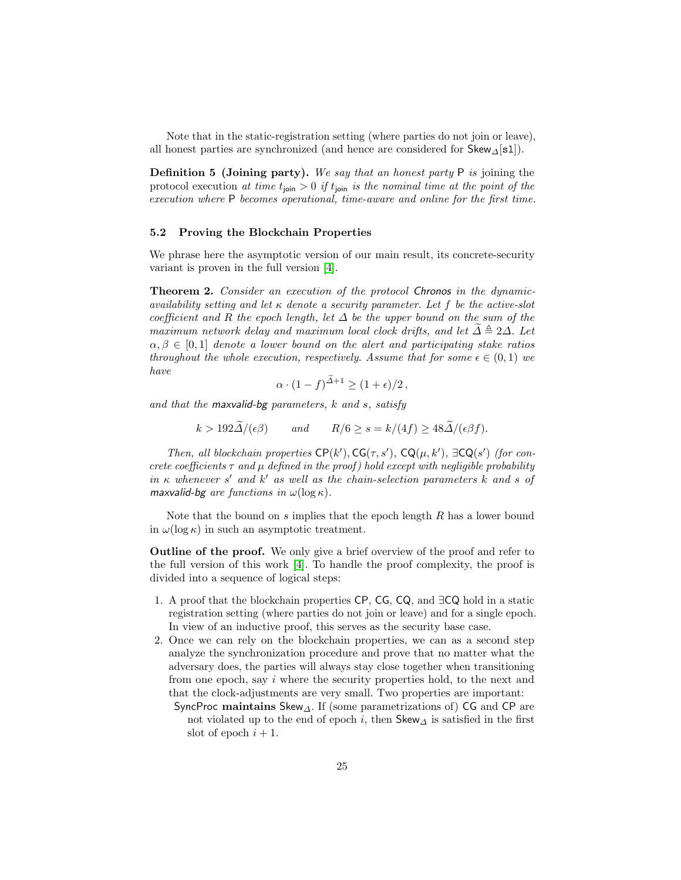Note that in the static-registration setting (where parties do not join or leave), all honest parties are synchronized (and hence are considered for  $\mathsf{Skew}_{\Delta}[\mathsf{s1}]).$ 

**Definition 5 (Joining party).** We say that an honest party  $P$  is joining the protocol execution at time  $t_{\text{join}} > 0$  if  $t_{\text{join}}$  is the nominal time at the point of the execution where P becomes operational, time-aware and online for the first time.

#### 5.2 Proving the Blockchain Properties

We phrase here the asymptotic version of our main result, its concrete-security variant is proven in the full version [\[4\]](#page-28-1).

<span id="page-25-0"></span>Theorem 2. Consider an execution of the protocol Chronos in the dynamicavailability setting and let  $\kappa$  denote a security parameter. Let f be the active-slot coefficient and R the epoch length, let  $\Delta$  be the upper bound on the sum of the maximum network delay and maximum local clock drifts, and let  $\Delta \triangleq 2\Delta$ . Let  $\alpha, \beta \in [0,1]$  denote a lower bound on the alert and participating stake ratios throughout the whole execution, respectively. Assume that for some  $\epsilon \in (0,1)$  we have

$$
\alpha \cdot (1 - f)^{\Delta + 1} \ge (1 + \epsilon)/2 \,,
$$

and that the maxvalid-bg parameters,  $k$  and  $s$ , satisfy

$$
k > 192\Delta/(\epsilon \beta)
$$
 and  $R/6 \ge s = k/(4f) \ge 48\Delta/(\epsilon \beta f)$ .

Then, all blockchain properties  $\mathsf{CP}(k'), \mathsf{CG}(\tau, s'), \mathsf{CQ}(\mu, k'), \exists \mathsf{CQ}(s')$  (for concrete coefficients  $\tau$  and  $\mu$  defined in the proof) hold except with negligible probability in  $\kappa$  whenever s' and  $k'$  as well as the chain-selection parameters  $k$  and  $s$  of maxvalid-bg are functions in  $\omega(\log \kappa)$ .

Note that the bound on s implies that the epoch length R has a lower bound in  $\omega(\log \kappa)$  in such an asymptotic treatment.

Outline of the proof. We only give a brief overview of the proof and refer to the full version of this work [\[4\]](#page-28-1). To handle the proof complexity, the proof is divided into a sequence of logical steps:

- 1. A proof that the blockchain properties CP, CG, CQ, and ∃CQ hold in a static registration setting (where parties do not join or leave) and for a single epoch. In view of an inductive proof, this serves as the security base case.
- 2. Once we can rely on the blockchain properties, we can as a second step analyze the synchronization procedure and prove that no matter what the adversary does, the parties will always stay close together when transitioning from one epoch, say i where the security properties hold, to the next and that the clock-adjustments are very small. Two properties are important:
	- SyncProc maintains Skew<sub> $\Delta$ </sub>. If (some parametrizations of) CG and CP are not violated up to the end of epoch i, then  $\mathsf{Skew}_{\Delta}$  is satisfied in the first slot of epoch  $i + 1$ .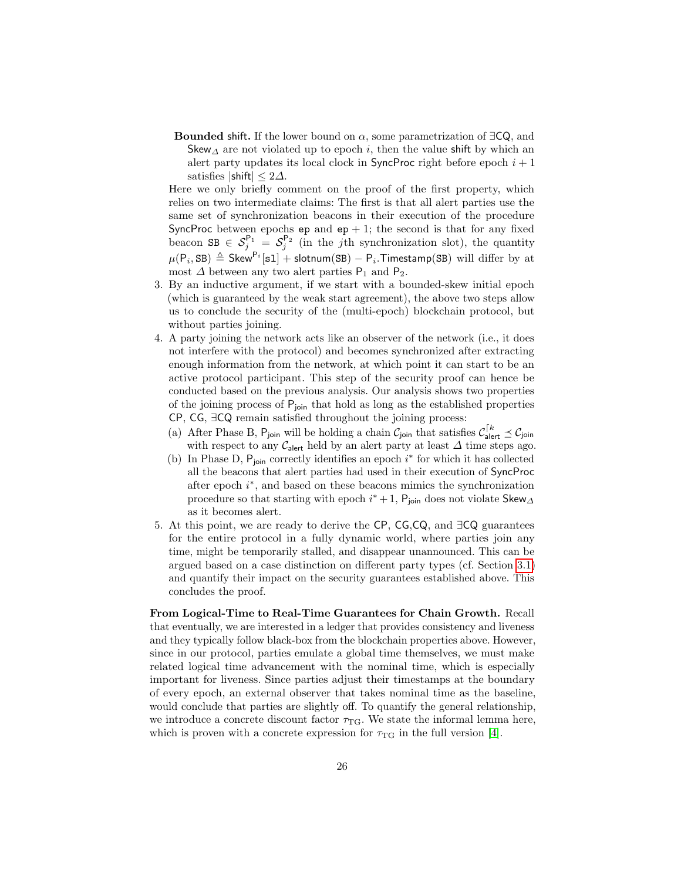**Bounded shift.** If the lower bound on  $\alpha$ , some parametrization of  $\exists CQ$ , and Skew<sub> $\Delta$ </sub> are not violated up to epoch *i*, then the value shift by which an alert party updates its local clock in SyncProc right before epoch  $i + 1$ satisfies  $|\text{shift}| \leq 2\Delta$ .

Here we only briefly comment on the proof of the first property, which relies on two intermediate claims: The first is that all alert parties use the same set of synchronization beacons in their execution of the procedure SyncProc between epochs  $ep$  and  $ep + 1$ ; the second is that for any fixed beacon SB  $\in \mathcal{S}_j^{\mathsf{P}_1} = \mathcal{S}_j^{\mathsf{P}_2}$  (in the *j*th synchronization slot), the quantity  $\mu$ (P<sub>i</sub>, SB)  $\triangleq$  Skew<sup>P<sub>i</sub></sup>[s1] + slotnum(SB) − P<sub>i</sub>. Timestamp(SB) will differ by at most  $\Delta$  between any two alert parties  $P_1$  and  $P_2$ .

- 3. By an inductive argument, if we start with a bounded-skew initial epoch (which is guaranteed by the weak start agreement), the above two steps allow us to conclude the security of the (multi-epoch) blockchain protocol, but without parties joining.
- 4. A party joining the network acts like an observer of the network (i.e., it does not interfere with the protocol) and becomes synchronized after extracting enough information from the network, at which point it can start to be an active protocol participant. This step of the security proof can hence be conducted based on the previous analysis. Our analysis shows two properties of the joining process of  $P_{join}$  that hold as long as the established properties CP, CG, ∃CQ remain satisfied throughout the joining process:
	- (a) After Phase B,  $P_{join}$  will be holding a chain  $C_{join}$  that satisfies  $C_{alter}^{k} \preceq C_{join}$ with respect to any  $C_{\text{alert}}$  held by an alert party at least  $\Delta$  time steps ago.
	- (b) In Phase D,  $P_{join}$  correctly identifies an epoch  $i^*$  for which it has collected all the beacons that alert parties had used in their execution of SyncProc after epoch  $i^*$ , and based on these beacons mimics the synchronization procedure so that starting with epoch  $i^* + 1$ , P<sub>join</sub> does not violate Skew<sub> $\Delta$ </sub> as it becomes alert.
- 5. At this point, we are ready to derive the CP, CG,CQ, and ∃CQ guarantees for the entire protocol in a fully dynamic world, where parties join any time, might be temporarily stalled, and disappear unannounced. This can be argued based on a case distinction on different party types (cf. Section [3.1\)](#page-11-1) and quantify their impact on the security guarantees established above. This concludes the proof.

<span id="page-26-0"></span>From Logical-Time to Real-Time Guarantees for Chain Growth. Recall that eventually, we are interested in a ledger that provides consistency and liveness and they typically follow black-box from the blockchain properties above. However, since in our protocol, parties emulate a global time themselves, we must make related logical time advancement with the nominal time, which is especially important for liveness. Since parties adjust their timestamps at the boundary of every epoch, an external observer that takes nominal time as the baseline, would conclude that parties are slightly off. To quantify the general relationship, we introduce a concrete discount factor  $\tau_{\text{TG}}$ . We state the informal lemma here, which is proven with a concrete expression for  $\tau_{\text{TG}}$  in the full version [\[4\]](#page-28-1).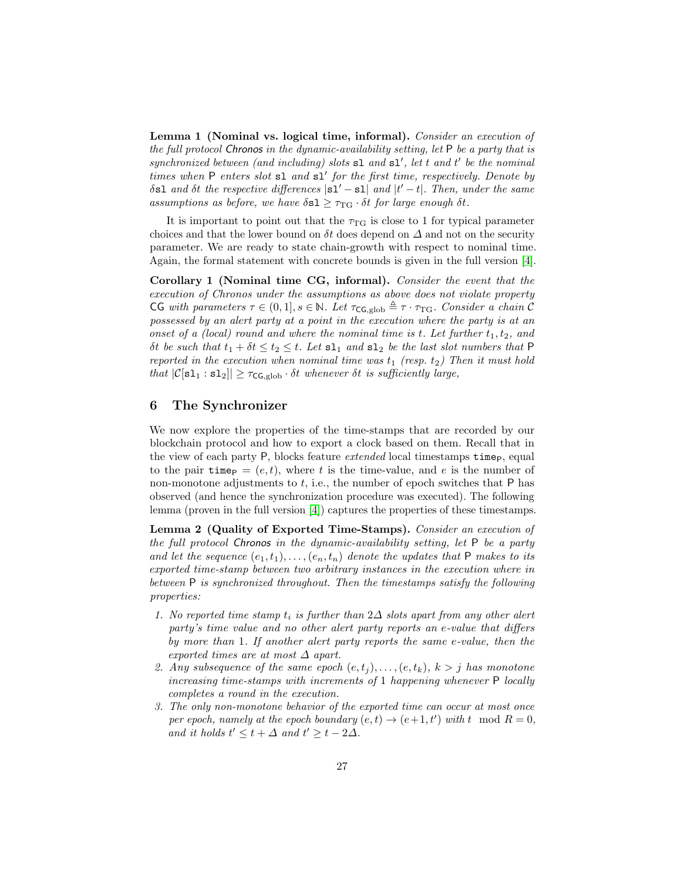Lemma 1 (Nominal vs. logical time, informal). Consider an execution of the full protocol Chronos in the dynamic-availability setting, let  $P$  be a party that is synchronized between (and including) slots  $s1$  and  $s1'$ , let t and t' be the nominal times when  $P$  enters slot  $s1$  and  $s1'$  for the first time, respectively. Denote by  $\delta$ sl and  $\delta t$  the respective differences  $|\text{s1}'-\text{s1}|$  and  $|t'-t|$ . Then, under the same assumptions as before, we have  $\delta s \leq \tau_{\text{TG}} \cdot \delta t$  for large enough  $\delta t$ .

It is important to point out that the  $\tau_{\text{TC}}$  is close to 1 for typical parameter choices and that the lower bound on  $\delta t$  does depend on  $\Delta$  and not on the security parameter. We are ready to state chain-growth with respect to nominal time. Again, the formal statement with concrete bounds is given in the full version [\[4\]](#page-28-1).

Corollary 1 (Nominal time CG, informal). Consider the event that the execution of Chronos under the assumptions as above does not violate property CG with parameters  $\tau \in (0,1], s \in \mathbb{N}$ . Let  $\tau_{\text{CG,glob}} \triangleq \tau \cdot \tau_{\text{TG}}$ . Consider a chain C possessed by an alert party at a point in the execution where the party is at an onset of a (local) round and where the nominal time is t. Let further  $t_1, t_2,$  and δt be such that  $t_1 + \delta t \le t_2 \le t$ . Let  $\mathbf{sl}_1$  and  $\mathbf{sl}_2$  be the last slot numbers that P reported in the execution when nominal time was  $t_1$  (resp.  $t_2$ ) Then it must hold that  $|\mathcal{C}[\mathbf{s}\mathbf{1}_1 : \mathbf{s}\mathbf{1}_2]| \geq \tau_{\mathsf{CG},\text{glob}} \cdot \delta t$  whenever  $\delta t$  is sufficiently large,

#### 6 The Synchronizer

We now explore the properties of the time-stamps that are recorded by our blockchain protocol and how to export a clock based on them. Recall that in the view of each party P, blocks feature *extended* local timestamps time<sub>P</sub>, equal to the pair time<sub>P</sub> =  $(e, t)$ , where t is the time-value, and e is the number of non-monotone adjustments to  $t$ , i.e., the number of epoch switches that P has observed (and hence the synchronization procedure was executed). The following lemma (proven in the full version [\[4\]](#page-28-1)) captures the properties of these timestamps.

<span id="page-27-0"></span>Lemma 2 (Quality of Exported Time-Stamps). Consider an execution of the full protocol Chronos in the dynamic-availability setting, let P be a party and let the sequence  $(e_1, t_1), \ldots, (e_n, t_n)$  denote the updates that P makes to its exported time-stamp between two arbitrary instances in the execution where in between P is synchronized throughout. Then the timestamps satisfy the following properties:

- 1. No reported time stamp  $t_i$  is further than 2 $\Delta$  slots apart from any other alert party's time value and no other alert party reports an e-value that differs by more than 1. If another alert party reports the same e-value, then the exported times are at most  $\Delta$  apart.
- 2. Any subsequence of the same epoch  $(e, t_i), \ldots, (e, t_k), k > j$  has monotone increasing time-stamps with increments of 1 happening whenever  $P$  locally completes a round in the execution.
- 3. The only non-monotone behavior of the exported time can occur at most once per epoch, namely at the epoch boundary  $(e,t) \rightarrow (e+1,t')$  with t mod  $R=0$ , and it holds  $t' \leq t + \Delta$  and  $t' \geq t - 2\Delta$ .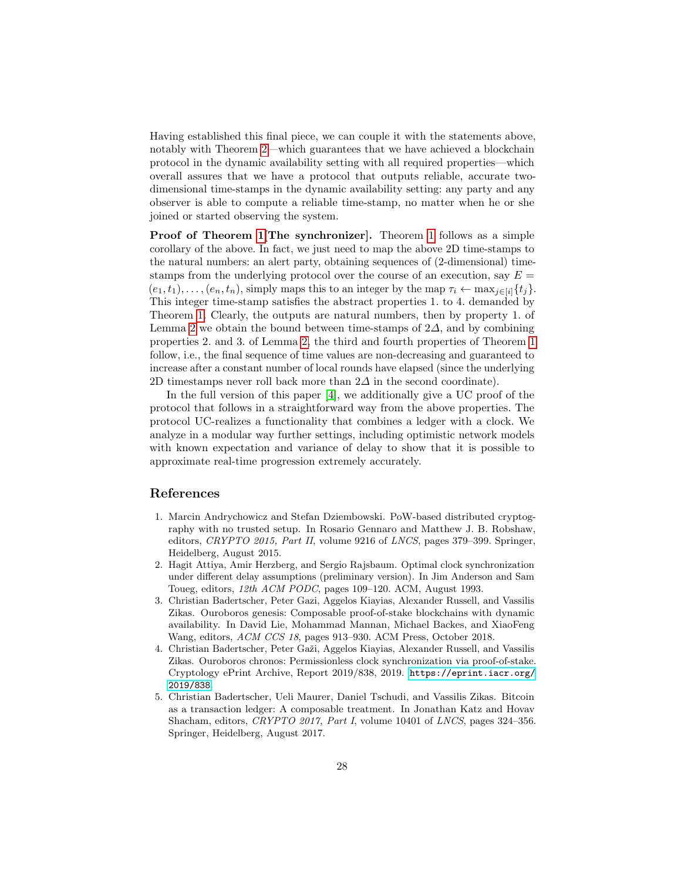Having established this final piece, we can couple it with the statements above, notably with Theorem [2—](#page-25-0)which guarantees that we have achieved a blockchain protocol in the dynamic availability setting with all required properties—which overall assures that we have a protocol that outputs reliable, accurate twodimensional time-stamps in the dynamic availability setting: any party and any observer is able to compute a reliable time-stamp, no matter when he or she joined or started observing the system.

Proof of Theorem [1\[](#page-9-0)The synchronizer]. Theorem [1](#page-9-0) follows as a simple corollary of the above. In fact, we just need to map the above 2D time-stamps to the natural numbers: an alert party, obtaining sequences of (2-dimensional) timestamps from the underlying protocol over the course of an execution, say  $E =$  $(e_1, t_1), \ldots, (e_n, t_n)$ , simply maps this to an integer by the map  $\tau_i \leftarrow \max_{i \in [i]} \{t_i\}.$ This integer time-stamp satisfies the abstract properties 1. to 4. demanded by Theorem [1.](#page-9-0) Clearly, the outputs are natural numbers, then by property 1. of Lemma [2](#page-27-0) we obtain the bound between time-stamps of  $2\Delta$ , and by combining properties 2. and 3. of Lemma [2,](#page-27-0) the third and fourth properties of Theorem [1](#page-9-0) follow, i.e., the final sequence of time values are non-decreasing and guaranteed to increase after a constant number of local rounds have elapsed (since the underlying 2D timestamps never roll back more than  $2\Delta$  in the second coordinate).

In the full version of this paper [\[4\]](#page-28-1), we additionally give a UC proof of the protocol that follows in a straightforward way from the above properties. The protocol UC-realizes a functionality that combines a ledger with a clock. We analyze in a modular way further settings, including optimistic network models with known expectation and variance of delay to show that it is possible to approximate real-time progression extremely accurately.

#### References

- <span id="page-28-3"></span>1. Marcin Andrychowicz and Stefan Dziembowski. PoW-based distributed cryptography with no trusted setup. In Rosario Gennaro and Matthew J. B. Robshaw, editors, CRYPTO 2015, Part II, volume 9216 of LNCS, pages 379–399. Springer, Heidelberg, August 2015.
- <span id="page-28-0"></span>2. Hagit Attiya, Amir Herzberg, and Sergio Rajsbaum. Optimal clock synchronization under different delay assumptions (preliminary version). In Jim Anderson and Sam Toueg, editors, 12th ACM PODC, pages 109–120. ACM, August 1993.
- <span id="page-28-2"></span>3. Christian Badertscher, Peter Gazi, Aggelos Kiayias, Alexander Russell, and Vassilis Zikas. Ouroboros genesis: Composable proof-of-stake blockchains with dynamic availability. In David Lie, Mohammad Mannan, Michael Backes, and XiaoFeng Wang, editors, ACM CCS 18, pages 913–930. ACM Press, October 2018.
- <span id="page-28-1"></span>4. Christian Badertscher, Peter Gaži, Aggelos Kiayias, Alexander Russell, and Vassilis Zikas. Ouroboros chronos: Permissionless clock synchronization via proof-of-stake. Cryptology ePrint Archive, Report 2019/838, 2019. [https://eprint.iacr.org/](https://eprint.iacr.org/2019/838) [2019/838](https://eprint.iacr.org/2019/838).
- <span id="page-28-4"></span>5. Christian Badertscher, Ueli Maurer, Daniel Tschudi, and Vassilis Zikas. Bitcoin as a transaction ledger: A composable treatment. In Jonathan Katz and Hovav Shacham, editors, CRYPTO 2017, Part I, volume 10401 of LNCS, pages 324–356. Springer, Heidelberg, August 2017.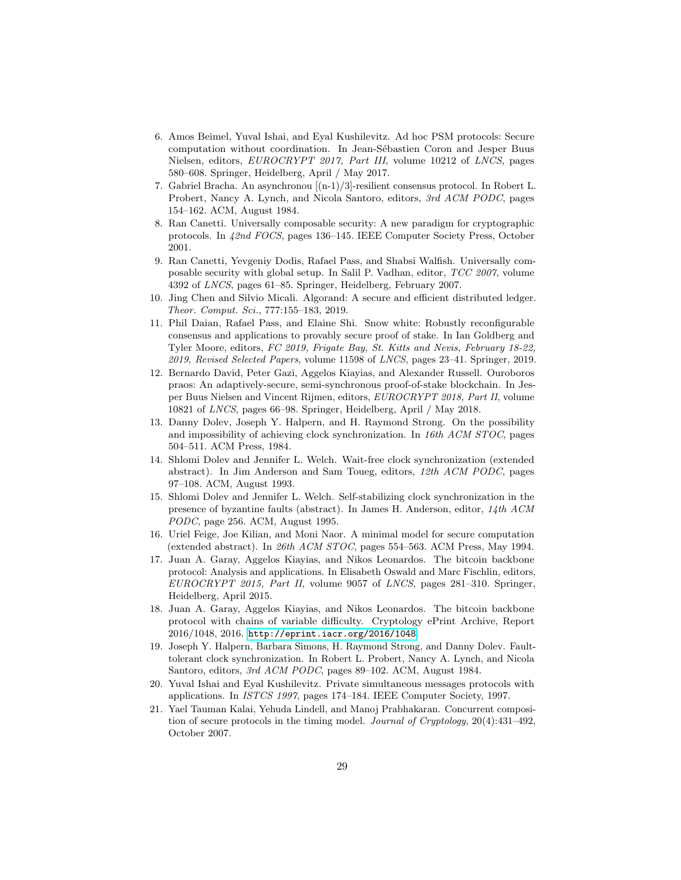- <span id="page-29-4"></span>6. Amos Beimel, Yuval Ishai, and Eyal Kushilevitz. Ad hoc PSM protocols: Secure computation without coordination. In Jean-Sébastien Coron and Jesper Buus Nielsen, editors, EUROCRYPT 2017, Part III, volume 10212 of LNCS, pages 580–608. Springer, Heidelberg, April / May 2017.
- <span id="page-29-14"></span>7. Gabriel Bracha. An asynchronou [(n-1)/3]-resilient consensus protocol. In Robert L. Probert, Nancy A. Lynch, and Nicola Santoro, editors, 3rd ACM PODC, pages 154–162. ACM, August 1984.
- <span id="page-29-7"></span>8. Ran Canetti. Universally composable security: A new paradigm for cryptographic protocols. In 42nd FOCS, pages 136–145. IEEE Computer Society Press, October 2001.
- <span id="page-29-8"></span>9. Ran Canetti, Yevgeniy Dodis, Rafael Pass, and Shabsi Walfish. Universally composable security with global setup. In Salil P. Vadhan, editor, TCC 2007, volume 4392 of LNCS, pages 61–85. Springer, Heidelberg, February 2007.
- <span id="page-29-13"></span>10. Jing Chen and Silvio Micali. Algorand: A secure and efficient distributed ledger. Theor. Comput. Sci., 777:155–183, 2019.
- <span id="page-29-11"></span>11. Phil Daian, Rafael Pass, and Elaine Shi. Snow white: Robustly reconfigurable consensus and applications to provably secure proof of stake. In Ian Goldberg and Tyler Moore, editors, FC 2019, Frigate Bay, St. Kitts and Nevis, February 18-22, 2019, Revised Selected Papers, volume 11598 of LNCS, pages 23–41. Springer, 2019.
- <span id="page-29-12"></span>12. Bernardo David, Peter Gazi, Aggelos Kiayias, and Alexander Russell. Ouroboros praos: An adaptively-secure, semi-synchronous proof-of-stake blockchain. In Jesper Buus Nielsen and Vincent Rijmen, editors, EUROCRYPT 2018, Part II, volume 10821 of LNCS, pages 66–98. Springer, Heidelberg, April / May 2018.
- <span id="page-29-0"></span>13. Danny Dolev, Joseph Y. Halpern, and H. Raymond Strong. On the possibility and impossibility of achieving clock synchronization. In 16th ACM STOC, pages 504–511. ACM Press, 1984.
- <span id="page-29-3"></span>14. Shlomi Dolev and Jennifer L. Welch. Wait-free clock synchronization (extended abstract). In Jim Anderson and Sam Toueg, editors, 12th ACM PODC, pages 97–108. ACM, August 1993.
- <span id="page-29-2"></span>15. Shlomi Dolev and Jennifer L. Welch. Self-stabilizing clock synchronization in the presence of byzantine faults (abstract). In James H. Anderson, editor, 14th ACM PODC, page 256. ACM, August 1995.
- <span id="page-29-5"></span>16. Uriel Feige, Joe Kilian, and Moni Naor. A minimal model for secure computation (extended abstract). In 26th ACM STOC, pages 554–563. ACM Press, May 1994.
- <span id="page-29-9"></span>17. Juan A. Garay, Aggelos Kiayias, and Nikos Leonardos. The bitcoin backbone protocol: Analysis and applications. In Elisabeth Oswald and Marc Fischlin, editors, EUROCRYPT 2015, Part II, volume 9057 of LNCS, pages 281–310. Springer, Heidelberg, April 2015.
- <span id="page-29-10"></span>18. Juan A. Garay, Aggelos Kiayias, and Nikos Leonardos. The bitcoin backbone protocol with chains of variable difficulty. Cryptology ePrint Archive, Report 2016/1048, 2016. <http://eprint.iacr.org/2016/1048>.
- <span id="page-29-1"></span>19. Joseph Y. Halpern, Barbara Simons, H. Raymond Strong, and Danny Dolev. Faulttolerant clock synchronization. In Robert L. Probert, Nancy A. Lynch, and Nicola Santoro, editors, 3rd ACM PODC, pages 89–102. ACM, August 1984.
- <span id="page-29-6"></span>20. Yuval Ishai and Eyal Kushilevitz. Private simultaneous messages protocols with applications. In ISTCS 1997, pages 174–184. IEEE Computer Society, 1997.
- <span id="page-29-15"></span>21. Yael Tauman Kalai, Yehuda Lindell, and Manoj Prabhakaran. Concurrent composition of secure protocols in the timing model. Journal of Cryptology, 20(4):431–492, October 2007.